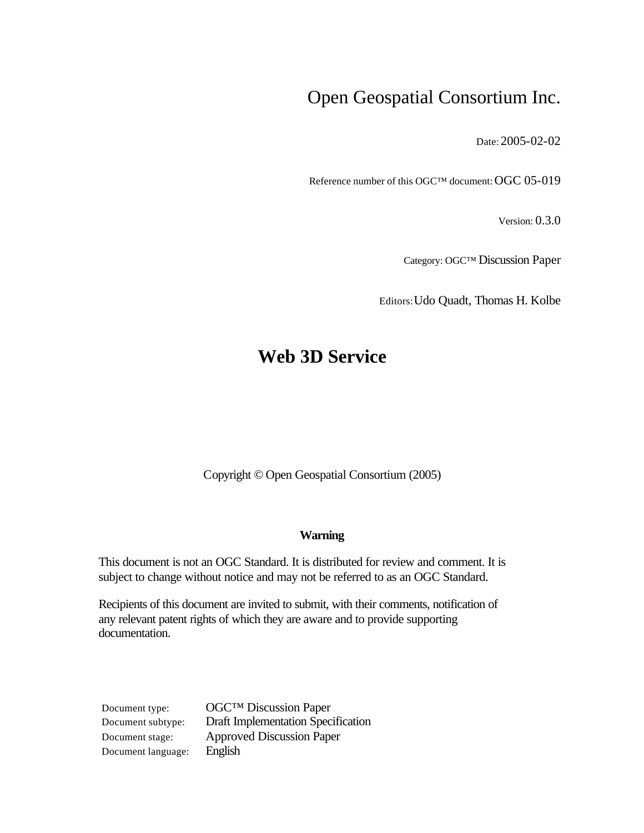# Open Geospatial Consortium Inc.

Date: 2005-02-02

Reference number of this OGC™ document: OGC 05-019

Version: 0.3.0

Category: OGC™ Discussion Paper

Editors:Udo Quadt, Thomas H. Kolbe

# **Web 3D Service**

Copyright © Open Geospatial Consortium (2005)

#### **Warning**

This document is not an OGC Standard. It is distributed for review and comment. It is subject to change without notice and may not be referred to as an OGC Standard.

Recipients of this document are invited to submit, with their comments, notification of any relevant patent rights of which they are aware and to provide supporting documentation.

Document language: English

Document type: OGC™ Discussion Paper Document subtype: Draft Implementation Specification Document stage: Approved Discussion Paper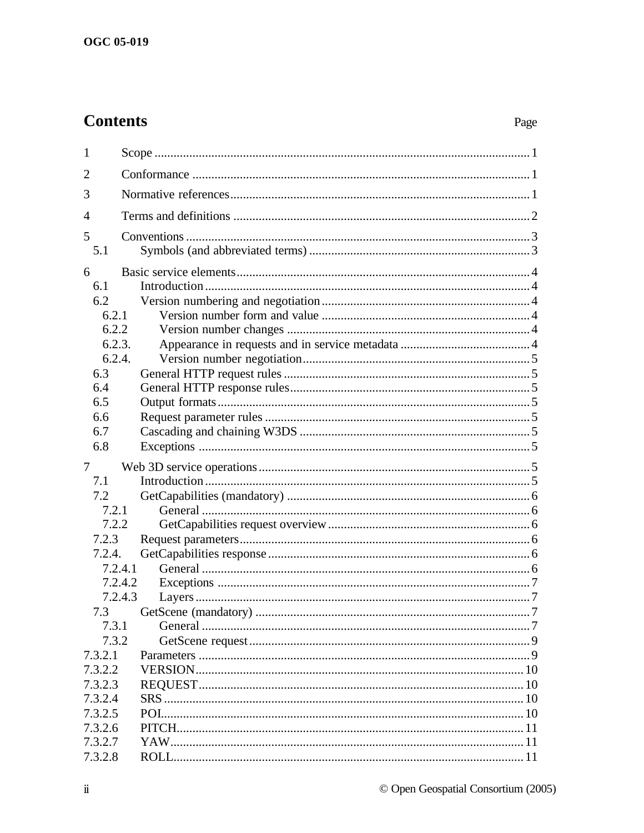# **Contents**

# Page

| 1                  |         |  |  |  |
|--------------------|---------|--|--|--|
| $\overline{2}$     |         |  |  |  |
| 3                  |         |  |  |  |
| $\overline{4}$     |         |  |  |  |
| 5<br>5.1           |         |  |  |  |
| 6                  |         |  |  |  |
| 6.1                |         |  |  |  |
| 6.2                |         |  |  |  |
| 6.2.1              |         |  |  |  |
| 6.2.2              |         |  |  |  |
| 6.2.3.             |         |  |  |  |
| 6.2.4.             |         |  |  |  |
| 6.3                |         |  |  |  |
| 6.4                |         |  |  |  |
| 6.5                |         |  |  |  |
| 6.6                |         |  |  |  |
| 6.7                |         |  |  |  |
| 6.8                |         |  |  |  |
|                    |         |  |  |  |
| $\tau$             |         |  |  |  |
| 7.1                |         |  |  |  |
| 7.2                |         |  |  |  |
| 7.2.1              |         |  |  |  |
| 7.2.2              |         |  |  |  |
| 7.2.3              |         |  |  |  |
| 7.2.4.             |         |  |  |  |
| 7.2.4.1            |         |  |  |  |
|                    | 7.2.4.2 |  |  |  |
| 7.2.4.3            |         |  |  |  |
| 7.3                |         |  |  |  |
| 7.3.1              |         |  |  |  |
| 7.3.2              |         |  |  |  |
| 7.3.2.1            |         |  |  |  |
| 7.3.2.2            |         |  |  |  |
| 7.3.2.3            |         |  |  |  |
| 7.3.2.4            |         |  |  |  |
| 7.3.2.5            |         |  |  |  |
| 7.3.2.6            |         |  |  |  |
| 7.3.2.7<br>7.3.2.8 |         |  |  |  |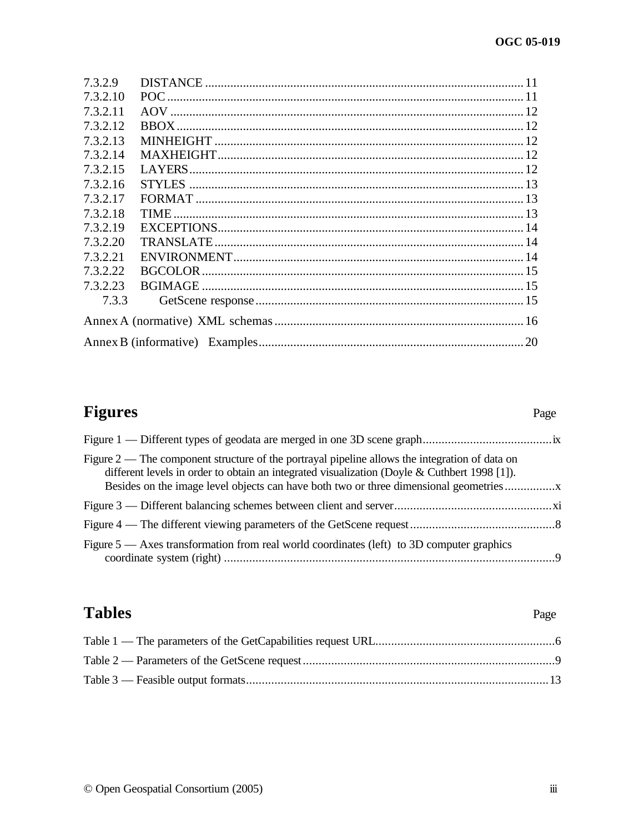| 7.3.2.9  |  |
|----------|--|
| 7.3.2.10 |  |
| 73211    |  |
| 7.3.2.12 |  |
| 73213    |  |
| 7.3.2.14 |  |
| 7.3.2.15 |  |
| 7.3.2.16 |  |
| 7.3.2.17 |  |
| 73218    |  |
| 73219    |  |
| 73220    |  |
| 7.3.2.21 |  |
| 7.3.2.22 |  |
| 7.3.2.23 |  |
| 7.3.3    |  |
|          |  |
|          |  |
|          |  |

# Figures

# Page

# **Tables**

# Page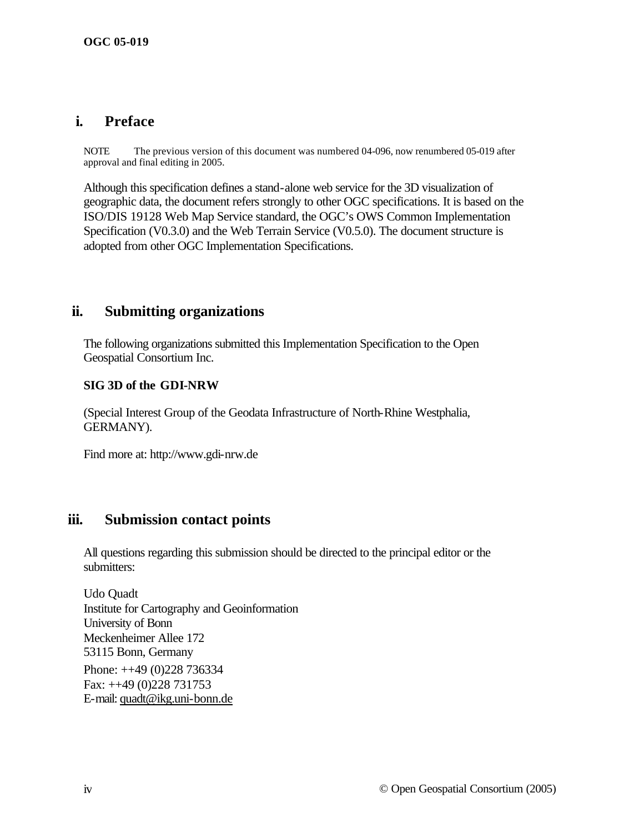## **i. Preface**

NOTE The previous version of this document was numbered 04-096, now renumbered 05-019 after approval and final editing in 2005.

Although this specification defines a stand-alone web service for the 3D visualization of geographic data, the document refers strongly to other OGC specifications. It is based on the ISO/DIS 19128 Web Map Service standard, the OGC's OWS Common Implementation Specification (V0.3.0) and the Web Terrain Service (V0.5.0). The document structure is adopted from other OGC Implementation Specifications.

## **ii. Submitting organizations**

The following organizations submitted this Implementation Specification to the Open Geospatial Consortium Inc.

#### **SIG 3D of the GDI-NRW**

(Special Interest Group of the Geodata Infrastructure of North-Rhine Westphalia, GERMANY).

Find more at: http://www.gdi-nrw.de

## **iii. Submission contact points**

All questions regarding this submission should be directed to the principal editor or the submitters:

Udo Quadt Institute for Cartography and Geoinformation University of Bonn Meckenheimer Allee 172 53115 Bonn, Germany Phone: ++49 (0)228 736334 Fax: ++49 (0)228 731753 E-mail: quadt@ikg.uni-bonn.de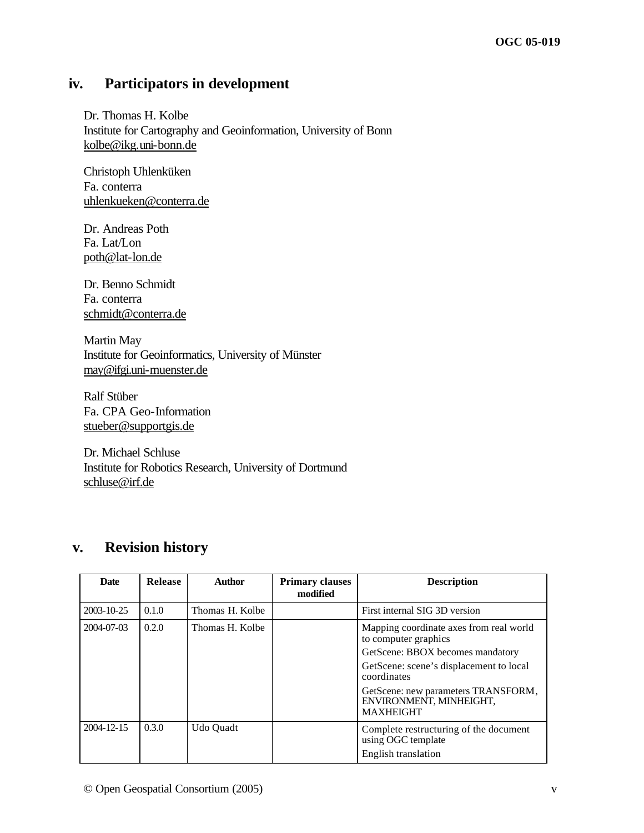# **iv. Participators in development**

Dr. Thomas H. Kolbe Institute for Cartography and Geoinformation, University of Bonn kolbe@ikg.uni-bonn.de

Christoph Uhlenküken Fa. conterra uhlenkueken@conterra.de

Dr. Andreas Poth Fa. Lat/Lon poth@lat-lon.de

Dr. Benno Schmidt Fa. conterra schmidt@conterra.de

Martin May Institute for Geoinformatics, University of Münster may@ifgi.uni-muenster.de

Ralf Stüber Fa. CPA Geo-Information stueber@supportgis.de

Dr. Michael Schluse Institute for Robotics Research, University of Dortmund schluse@irf.de

# **v. Revision history**

| <b>Date</b> | Release | <b>Author</b>   | <b>Primary clauses</b><br>modified | <b>Description</b>                                                                 |
|-------------|---------|-----------------|------------------------------------|------------------------------------------------------------------------------------|
| 2003-10-25  | 0.1.0   | Thomas H. Kolbe |                                    | First internal SIG 3D version                                                      |
| 2004-07-03  | 0.2.0   | Thomas H. Kolbe |                                    | Mapping coordinate axes from real world<br>to computer graphics                    |
|             |         |                 |                                    | GetScene: BBOX becomes mandatory                                                   |
|             |         |                 |                                    | GetScene: scene's displacement to local<br>coordinates                             |
|             |         |                 |                                    | GetScene: new parameters TRANSFORM,<br>ENVIRONMENT, MINHEIGHT,<br><b>MAXHEIGHT</b> |
| 2004-12-15  | 0.3.0   | Udo Quadt       |                                    | Complete restructuring of the document<br>using OGC template                       |
|             |         |                 |                                    | English translation                                                                |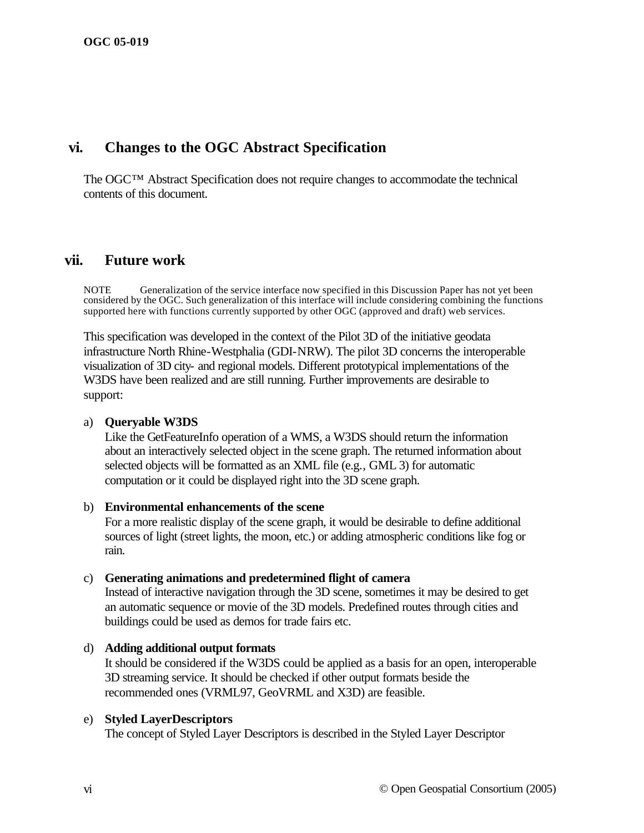## **vi. Changes to the OGC Abstract Specification**

The OGC™ Abstract Specification does not require changes to accommodate the technical contents of this document.

## **vii. Future work**

NOTE Generalization of the service interface now specified in this Discussion Paper has not yet been considered by the OGC. Such generalization of this interface will include considering combining the functions supported here with functions currently supported by other OGC (approved and draft) web services.

This specification was developed in the context of the Pilot 3D of the initiative geodata infrastructure North Rhine-Westphalia (GDI-NRW). The pilot 3D concerns the interoperable visualization of 3D city- and regional models. Different prototypical implementations of the W3DS have been realized and are still running. Further improvements are desirable to support:

#### a) **Queryable W3DS**

Like the GetFeatureInfo operation of a WMS, a W3DS should return the information about an interactively selected object in the scene graph. The returned information about selected objects will be formatted as an XML file (e.g., GML 3) for automatic computation or it could be displayed right into the 3D scene graph.

#### b) **Environmental enhancements of the scene**

For a more realistic display of the scene graph, it would be desirable to define additional sources of light (street lights, the moon, etc.) or adding atmospheric conditions like fog or rain.

#### c) **Generating animations and predetermined flight of camera**

Instead of interactive navigation through the 3D scene, sometimes it may be desired to get an automatic sequence or movie of the 3D models. Predefined routes through cities and buildings could be used as demos for trade fairs etc.

d) **Adding additional output formats** It should be considered if the W3DS could be applied as a basis for an open, interoperable 3D streaming service. It should be checked if other output formats beside the recommended ones (VRML97, GeoVRML and X3D) are feasible.

#### e) **Styled LayerDescriptors**

The concept of Styled Layer Descriptors is described in the Styled Layer Descriptor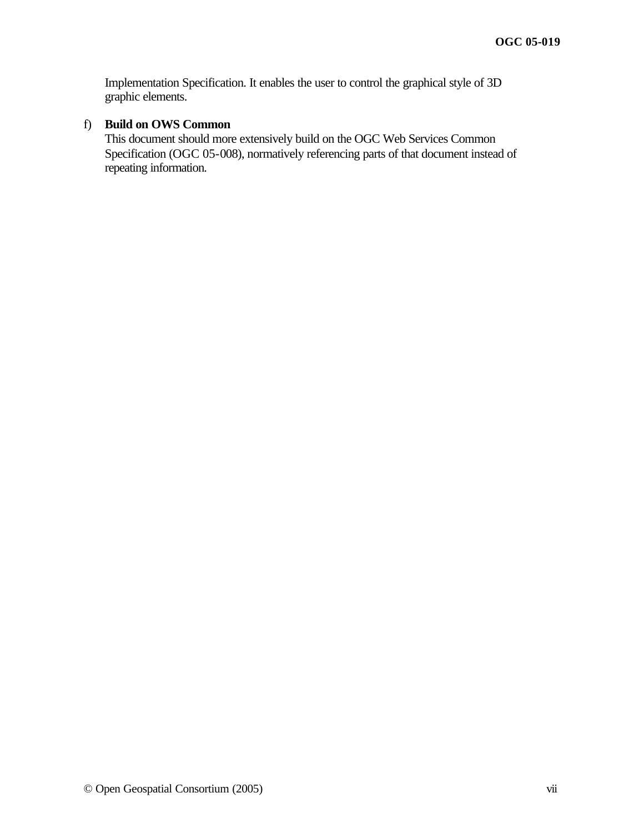Implementation Specification. It enables the user to control the graphical style of 3D graphic elements.

## f) **Build on OWS Common**

This document should more extensively build on the OGC Web Services Common Specification (OGC 05-008), normatively referencing parts of that document instead of repeating information.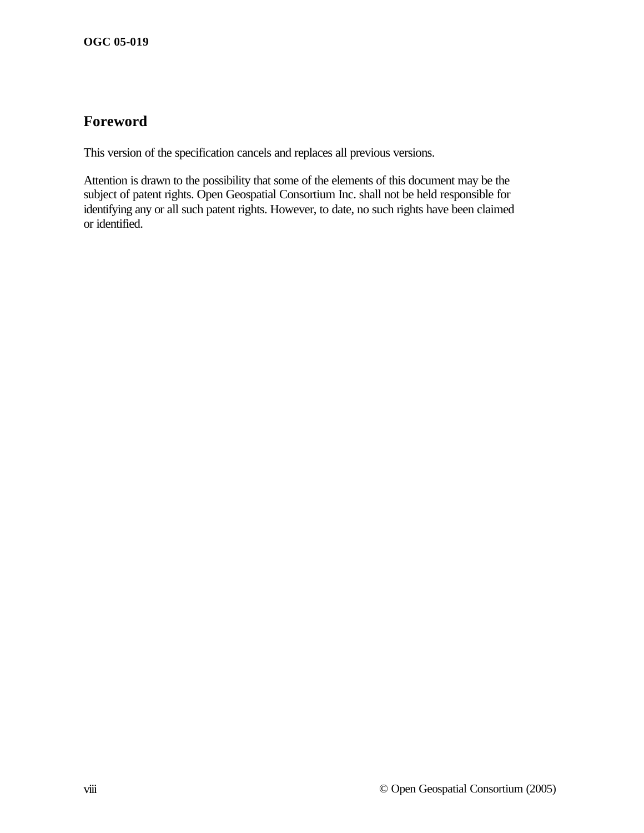# **Foreword**

This version of the specification cancels and replaces all previous versions.

Attention is drawn to the possibility that some of the elements of this document may be the subject of patent rights. Open Geospatial Consortium Inc. shall not be held responsible for identifying any or all such patent rights. However, to date, no such rights have been claimed or identified.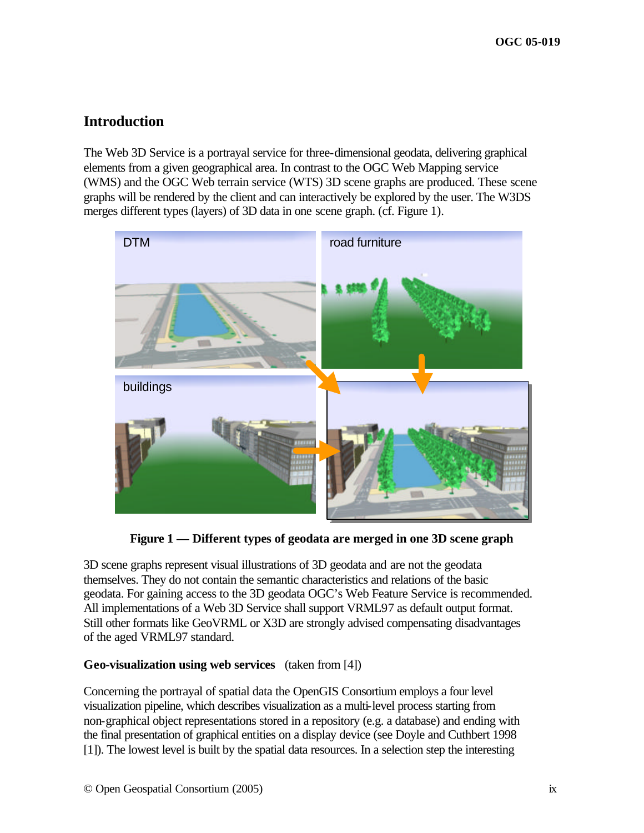# **Introduction**

The Web 3D Service is a portrayal service for three-dimensional geodata, delivering graphical elements from a given geographical area. In contrast to the OGC Web Mapping service (WMS) and the OGC Web terrain service (WTS) 3D scene graphs are produced. These scene graphs will be rendered by the client and can interactively be explored by the user. The W3DS merges different types (layers) of 3D data in one scene graph. (cf. Figure 1).



**Figure 1 — Different types of geodata are merged in one 3D scene graph**

3D scene graphs represent visual illustrations of 3D geodata and are not the geodata themselves. They do not contain the semantic characteristics and relations of the basic geodata. For gaining access to the 3D geodata OGC's Web Feature Service is recommended. All implementations of a Web 3D Service shall support VRML97 as default output format. Still other formats like GeoVRML or X3D are strongly advised compensating disadvantages of the aged VRML97 standard.

## **Geo-visualization using web services** (taken from [4])

Concerning the portrayal of spatial data the OpenGIS Consortium employs a four level visualization pipeline, which describes visualization as a multi-level process starting from non-graphical object representations stored in a repository (e.g. a database) and ending with the final presentation of graphical entities on a display device (see Doyle and Cuthbert 1998 [1]). The lowest level is built by the spatial data resources. In a selection step the interesting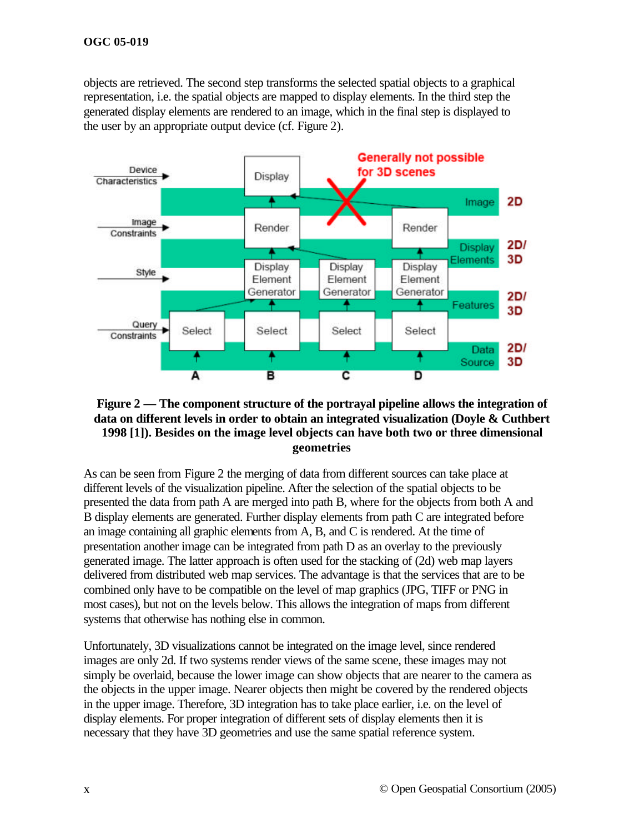objects are retrieved. The second step transforms the selected spatial objects to a graphical representation, i.e. the spatial objects are mapped to display elements. In the third step the generated display elements are rendered to an image, which in the final step is displayed to the user by an appropriate output device (cf. Figure 2).



#### **Figure 2 — The component structure of the portrayal pipeline allows the integration of data on different levels in order to obtain an integrated visualization (Doyle & Cuthbert 1998 [1]). Besides on the image level objects can have both two or three dimensional geometries**

As can be seen from Figure 2 the merging of data from different sources can take place at different levels of the visualization pipeline. After the selection of the spatial objects to be presented the data from path A are merged into path B, where for the objects from both A and B display elements are generated. Further display elements from path C are integrated before an image containing all graphic elements from A, B, and C is rendered. At the time of presentation another image can be integrated from path D as an overlay to the previously generated image. The latter approach is often used for the stacking of (2d) web map layers delivered from distributed web map services. The advantage is that the services that are to be combined only have to be compatible on the level of map graphics (JPG, TIFF or PNG in most cases), but not on the levels below. This allows the integration of maps from different systems that otherwise has nothing else in common.

Unfortunately, 3D visualizations cannot be integrated on the image level, since rendered images are only 2d. If two systems render views of the same scene, these images may not simply be overlaid, because the lower image can show objects that are nearer to the camera as the objects in the upper image. Nearer objects then might be covered by the rendered objects in the upper image. Therefore, 3D integration has to take place earlier, i.e. on the level of display elements. For proper integration of different sets of display elements then it is necessary that they have 3D geometries and use the same spatial reference system.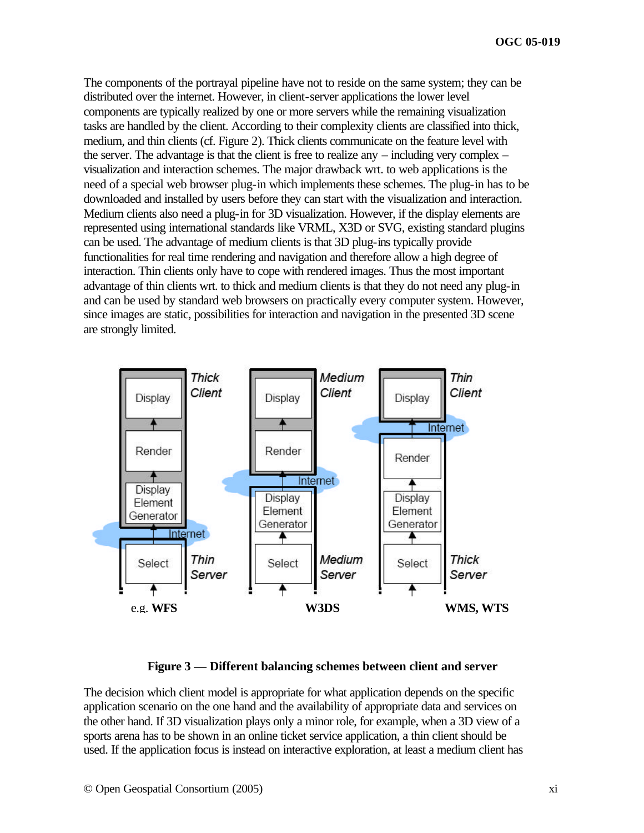The components of the portrayal pipeline have not to reside on the same system; they can be distributed over the internet. However, in client-server applications the lower level components are typically realized by one or more servers while the remaining visualization tasks are handled by the client. According to their complexity clients are classified into thick, medium, and thin clients (cf. Figure 2). Thick clients communicate on the feature level with the server. The advantage is that the client is free to realize any  $-$  including very complex  $$ visualization and interaction schemes. The major drawback wrt. to web applications is the need of a special web browser plug-in which implements these schemes. The plug-in has to be downloaded and installed by users before they can start with the visualization and interaction. Medium clients also need a plug-in for 3D visualization. However, if the display elements are represented using international standards like VRML, X3D or SVG, existing standard plugins can be used. The advantage of medium clients is that 3D plug-ins typically provide functionalities for real time rendering and navigation and therefore allow a high degree of interaction. Thin clients only have to cope with rendered images. Thus the most important advantage of thin clients wrt. to thick and medium clients is that they do not need any plug-in and can be used by standard web browsers on practically every computer system. However, since images are static, possibilities for interaction and navigation in the presented 3D scene are strongly limited.



**Figure 3 — Different balancing schemes between client and server**

The decision which client model is appropriate for what application depends on the specific application scenario on the one hand and the availability of appropriate data and services on the other hand. If 3D visualization plays only a minor role, for example, when a 3D view of a sports arena has to be shown in an online ticket service application, a thin client should be used. If the application focus is instead on interactive exploration, at least a medium client has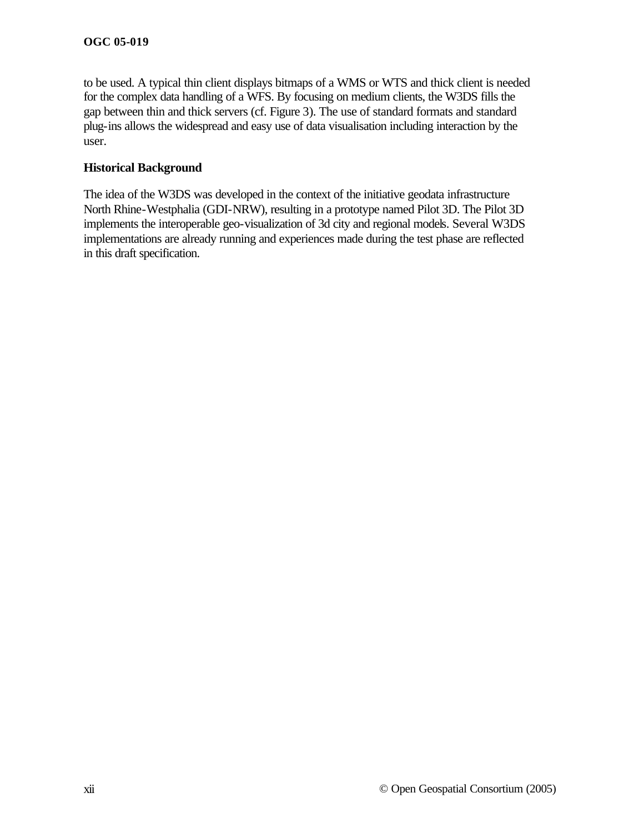to be used. A typical thin client displays bitmaps of a WMS or WTS and thick client is needed for the complex data handling of a WFS. By focusing on medium clients, the W3DS fills the gap between thin and thick servers (cf. Figure 3). The use of standard formats and standard plug-ins allows the widespread and easy use of data visualisation including interaction by the user.

## **Historical Background**

The idea of the W3DS was developed in the context of the initiative geodata infrastructure North Rhine-Westphalia (GDI-NRW), resulting in a prototype named Pilot 3D. The Pilot 3D implements the interoperable geo-visualization of 3d city and regional models. Several W3DS implementations are already running and experiences made during the test phase are reflected in this draft specification.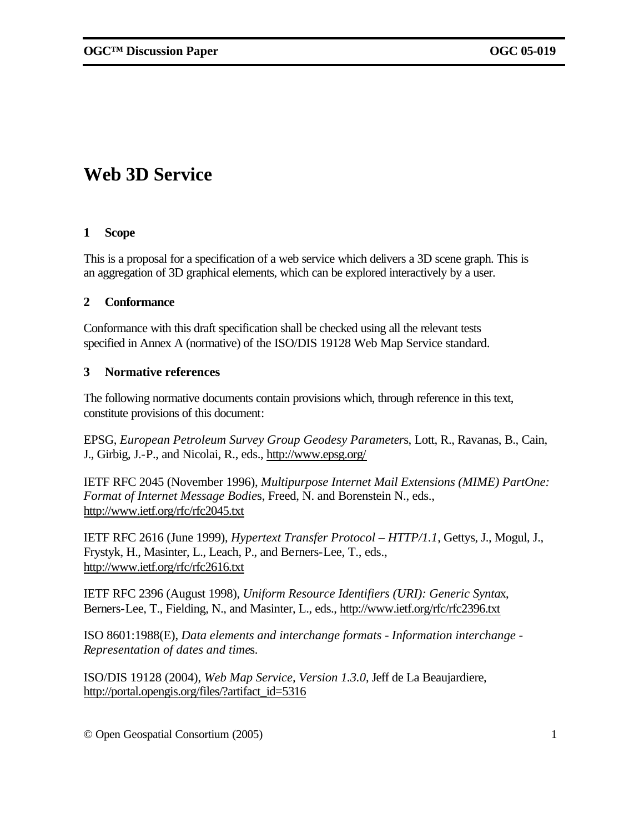# **Web 3D Service**

#### **1 Scope**

This is a proposal for a specification of a web service which delivers a 3D scene graph. This is an aggregation of 3D graphical elements, which can be explored interactively by a user.

#### **2 Conformance**

Conformance with this draft specification shall be checked using all the relevant tests specified in Annex A (normative) of the ISO/DIS 19128 Web Map Service standard.

#### **3 Normative references**

The following normative documents contain provisions which, through reference in this text, constitute provisions of this document:

EPSG, *European Petroleum Survey Group Geodesy Parameter*s, Lott, R., Ravanas, B., Cain, J., Girbig, J.-P., and Nicolai, R., eds., http://www.epsg.org/

IETF RFC 2045 (November 1996), *Multipurpose Internet Mail Extensions (MIME) PartOne: Format of Internet Message Bodie*s, Freed, N. and Borenstein N., eds., http://www.ietf.org/rfc/rfc2045.txt

IETF RFC 2616 (June 1999), *Hypertext Transfer Protocol – HTTP/1.1*, Gettys, J., Mogul, J., Frystyk, H., Masinter, L., Leach, P., and Berners-Lee, T., eds., http://www.ietf.org/rfc/rfc2616.txt

IETF RFC 2396 (August 1998), *Uniform Resource Identifiers (URI): Generic Synta*x, Berners-Lee, T., Fielding, N., and Masinter, L., eds., http://www.ietf.org/rfc/rfc2396.txt

ISO 8601:1988(E), *Data elements and interchange formats - Information interchange - Representation of dates and time*s.

ISO/DIS 19128 (2004), *Web Map Service, Version 1.3.0*, Jeff de La Beaujardiere, http://portal.opengis.org/files/?artifact\_id=5316

© Open Geospatial Consortium (2005) 1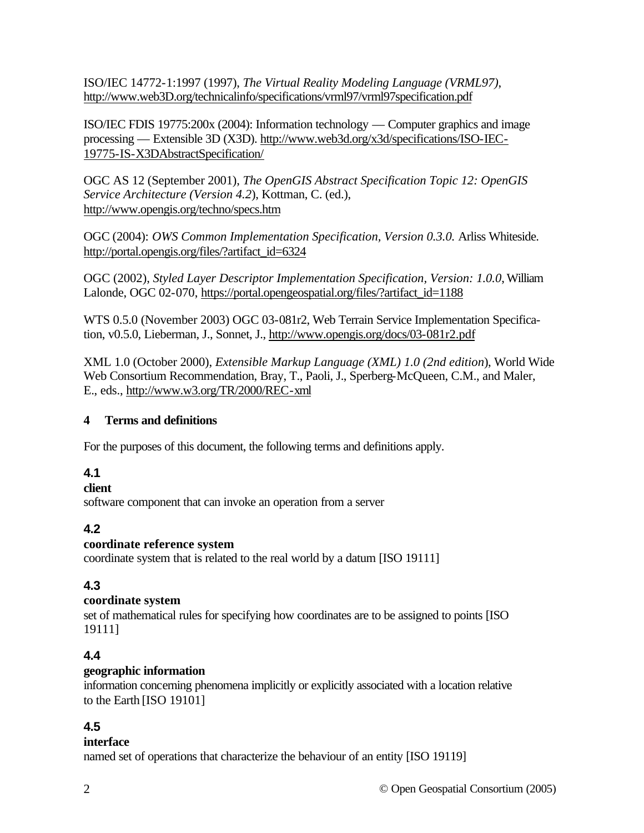ISO/IEC 14772-1:1997 (1997), *The Virtual Reality Modeling Language (VRML97)*, http://www.web3D.org/technicalinfo/specifications/vrml97/vrml97specification.pdf

ISO/IEC FDIS 19775:200x (2004): Information technology — Computer graphics and image processing — Extensible 3D (X3D). http://www.web3d.org/x3d/specifications/ISO-IEC-19775-IS-X3DAbstractSpecification/

OGC AS 12 (September 2001), *The OpenGIS Abstract Specification Topic 12: OpenGIS Service Architecture (Version 4.2*), Kottman, C. (ed.), http://www.opengis.org/techno/specs.htm

OGC (2004): *OWS Common Implementation Specification, Version 0.3.0.* Arliss Whiteside. http://portal.opengis.org/files/?artifact\_id=6324

OGC (2002), *Styled Layer Descriptor Implementation Specification, Version: 1.0.0*, William Lalonde, OGC 02-070, https://portal.opengeospatial.org/files/?artifact\_id=1188

WTS 0.5.0 (November 2003) OGC 03-081r2, Web Terrain Service Implementation Specification, v0.5.0, Lieberman, J., Sonnet, J., http://www.opengis.org/docs/03-081r2.pdf

XML 1.0 (October 2000), *Extensible Markup Language (XML) 1.0 (2nd edition*), World Wide Web Consortium Recommendation, Bray, T., Paoli, J., Sperberg-McQueen, C.M., and Maler, E., eds., http://www.w3.org/TR/2000/REC-xml

## **4 Terms and definitions**

For the purposes of this document, the following terms and definitions apply.

## **4.1**

## **client**

software component that can invoke an operation from a server

## **4.2**

## **coordinate reference system**

coordinate system that is related to the real world by a datum [ISO 19111]

## **4.3**

## **coordinate system**

set of mathematical rules for specifying how coordinates are to be assigned to points [ISO 19111]

## **4.4**

## **geographic information**

information concerning phenomena implicitly or explicitly associated with a location relative to the Earth [ISO 19101]

# **4.5**

## **interface**

named set of operations that characterize the behaviour of an entity [ISO 19119]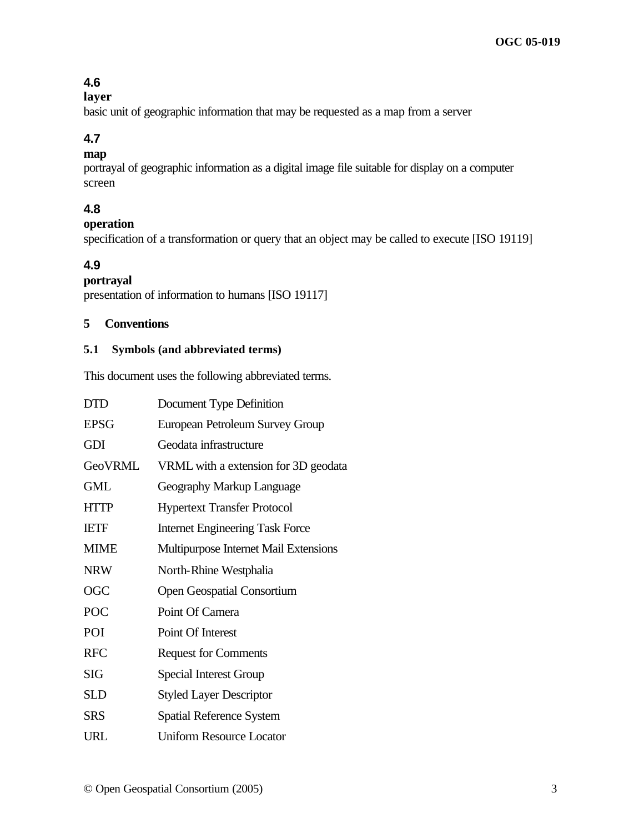## **4.6**

## **layer**

basic unit of geographic information that may be requested as a map from a server

## **4.7**

## **map**

portrayal of geographic information as a digital image file suitable for display on a computer screen

# **4.8**

**operation**

specification of a transformation or query that an object may be called to execute [ISO 19119]

# **4.9**

## **portrayal**

presentation of information to humans [ISO 19117]

## **5 Conventions**

#### **5.1 Symbols (and abbreviated terms)**

This document uses the following abbreviated terms.

| <b>DTD</b>     | Document Type Definition               |
|----------------|----------------------------------------|
| <b>EPSG</b>    | European Petroleum Survey Group        |
| <b>GDI</b>     | Geodata infrastructure                 |
| <b>GeoVRML</b> | VRML with a extension for 3D geodata   |
| <b>GML</b>     | Geography Markup Language              |
| <b>HTTP</b>    | <b>Hypertext Transfer Protocol</b>     |
| <b>IETF</b>    | <b>Internet Engineering Task Force</b> |
| <b>MIME</b>    | Multipurpose Internet Mail Extensions  |
| <b>NRW</b>     | North-Rhine Westphalia                 |
| <b>OGC</b>     | <b>Open Geospatial Consortium</b>      |
| POC            | Point Of Camera                        |
| POI            | Point Of Interest                      |
| <b>RFC</b>     | <b>Request for Comments</b>            |
| <b>SIG</b>     | <b>Special Interest Group</b>          |
| SLD            | <b>Styled Layer Descriptor</b>         |
| <b>SRS</b>     | Spatial Reference System               |
| URL            | Uniform Resource Locator               |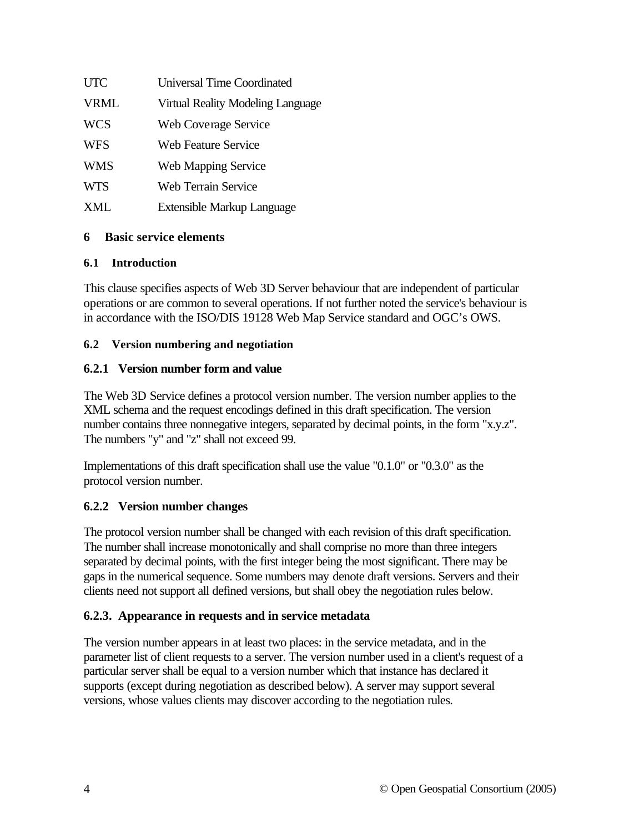| <b>UTC</b>  | <b>Universal Time Coordinated</b> |
|-------------|-----------------------------------|
| <b>VRML</b> | Virtual Reality Modeling Language |
| <b>WCS</b>  | <b>Web Coverage Service</b>       |
| <b>WFS</b>  | <b>Web Feature Service</b>        |
| <b>WMS</b>  | Web Mapping Service               |
| <b>WTS</b>  | <b>Web Terrain Service</b>        |
| XML         | Extensible Markup Language        |

## **6 Basic service elements**

## **6.1 Introduction**

This clause specifies aspects of Web 3D Server behaviour that are independent of particular operations or are common to several operations. If not further noted the service's behaviour is in accordance with the ISO/DIS 19128 Web Map Service standard and OGC's OWS.

## **6.2 Version numbering and negotiation**

## **6.2.1 Version number form and value**

The Web 3D Service defines a protocol version number. The version number applies to the XML schema and the request encodings defined in this draft specification. The version number contains three nonnegative integers, separated by decimal points, in the form "x.y.z". The numbers "y" and "z" shall not exceed 99.

Implementations of this draft specification shall use the value "0.1.0" or "0.3.0" as the protocol version number.

## **6.2.2 Version number changes**

The protocol version number shall be changed with each revision of this draft specification. The number shall increase monotonically and shall comprise no more than three integers separated by decimal points, with the first integer being the most significant. There may be gaps in the numerical sequence. Some numbers may denote draft versions. Servers and their clients need not support all defined versions, but shall obey the negotiation rules below.

## **6.2.3. Appearance in requests and in service metadata**

The version number appears in at least two places: in the service metadata, and in the parameter list of client requests to a server. The version number used in a client's request of a particular server shall be equal to a version number which that instance has declared it supports (except during negotiation as described below). A server may support several versions, whose values clients may discover according to the negotiation rules.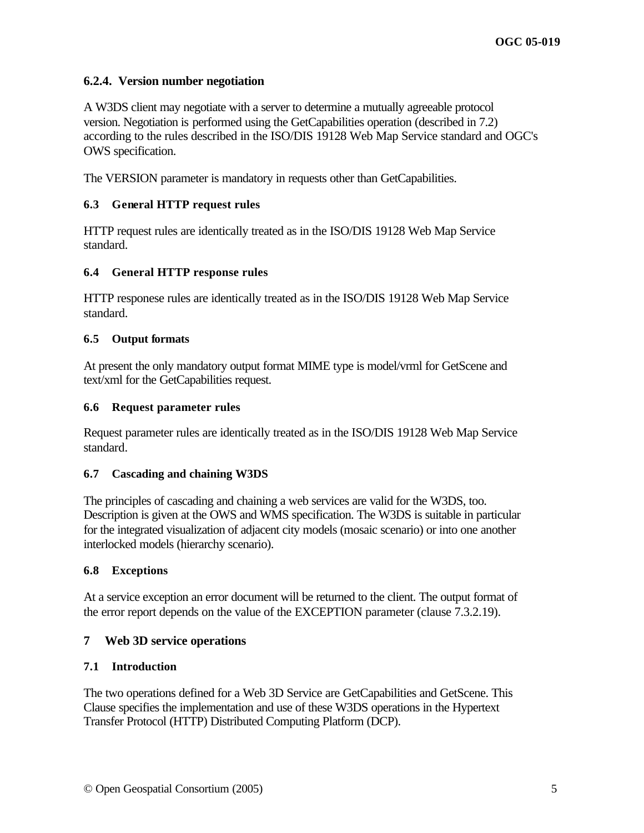#### **6.2.4. Version number negotiation**

A W3DS client may negotiate with a server to determine a mutually agreeable protocol version. Negotiation is performed using the GetCapabilities operation (described in 7.2) according to the rules described in the ISO/DIS 19128 Web Map Service standard and OGC's OWS specification.

The VERSION parameter is mandatory in requests other than GetCapabilities.

#### **6.3 General HTTP request rules**

HTTP request rules are identically treated as in the ISO/DIS 19128 Web Map Service standard.

#### **6.4 General HTTP response rules**

HTTP responese rules are identically treated as in the ISO/DIS 19128 Web Map Service standard.

#### **6.5 Output formats**

At present the only mandatory output format MIME type is model/vrml for GetScene and text/xml for the GetCapabilities request.

#### **6.6 Request parameter rules**

Request parameter rules are identically treated as in the ISO/DIS 19128 Web Map Service standard.

#### **6.7 Cascading and chaining W3DS**

The principles of cascading and chaining a web services are valid for the W3DS, too. Description is given at the OWS and WMS specification. The W3DS is suitable in particular for the integrated visualization of adjacent city models (mosaic scenario) or into one another interlocked models (hierarchy scenario).

#### **6.8 Exceptions**

At a service exception an error document will be returned to the client. The output format of the error report depends on the value of the EXCEPTION parameter (clause 7.3.2.19).

## **7 Web 3D service operations**

#### **7.1 Introduction**

The two operations defined for a Web 3D Service are GetCapabilities and GetScene. This Clause specifies the implementation and use of these W3DS operations in the Hypertext Transfer Protocol (HTTP) Distributed Computing Platform (DCP).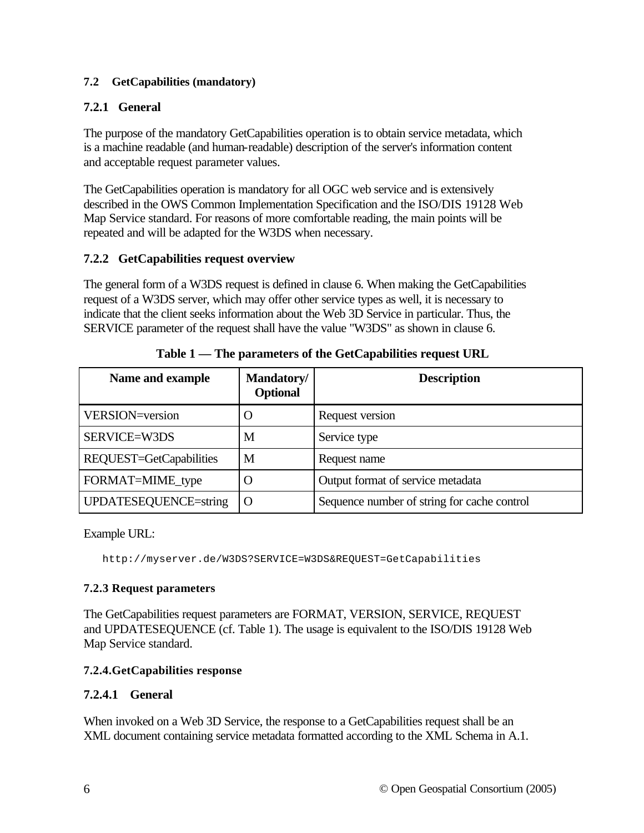#### **7.2 GetCapabilities (mandatory)**

## **7.2.1 General**

The purpose of the mandatory GetCapabilities operation is to obtain service metadata, which is a machine readable (and human-readable) description of the server's information content and acceptable request parameter values.

The GetCapabilities operation is mandatory for all OGC web service and is extensively described in the OWS Common Implementation Specification and the ISO/DIS 19128 Web Map Service standard. For reasons of more comfortable reading, the main points will be repeated and will be adapted for the W3DS when necessary.

## **7.2.2 GetCapabilities request overview**

The general form of a W3DS request is defined in clause 6. When making the GetCapabilities request of a W3DS server, which may offer other service types as well, it is necessary to indicate that the client seeks information about the Web 3D Service in particular. Thus, the SERVICE parameter of the request shall have the value "W3DS" as shown in clause 6.

| Name and example        | Mandatory/<br><b>Optional</b> | <b>Description</b>                          |
|-------------------------|-------------------------------|---------------------------------------------|
| VERSION=version         |                               | Request version                             |
| SERVICE=W3DS            | М                             | Service type                                |
| REQUEST=GetCapabilities | M                             | Request name                                |
| FORMAT=MIME_type        |                               | Output format of service metadata           |
| UPDATESEQUENCE=string   |                               | Sequence number of string for cache control |

**Table 1 — The parameters of the GetCapabilities request URL**

Example URL:

http://myserver.de/W3DS?SERVICE=W3DS&REQUEST=GetCapabilities

## **7.2.3 Request parameters**

The GetCapabilities request parameters are FORMAT, VERSION, SERVICE, REQUEST and UPDATESEQUENCE (cf. Table 1). The usage is equivalent to the ISO/DIS 19128 Web Map Service standard.

## **7.2.4.GetCapabilities response**

## **7.2.4.1 General**

When invoked on a Web 3D Service, the response to a GetCapabilities request shall be an XML document containing service metadata formatted according to the XML Schema in A.1.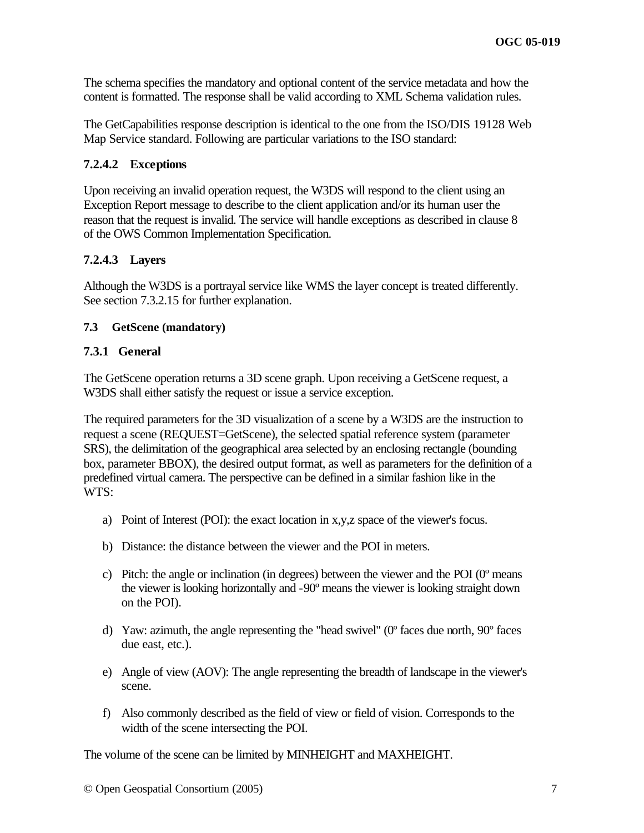The schema specifies the mandatory and optional content of the service metadata and how the content is formatted. The response shall be valid according to XML Schema validation rules.

The GetCapabilities response description is identical to the one from the ISO/DIS 19128 Web Map Service standard. Following are particular variations to the ISO standard:

#### **7.2.4.2 Exceptions**

Upon receiving an invalid operation request, the W3DS will respond to the client using an Exception Report message to describe to the client application and/or its human user the reason that the request is invalid. The service will handle exceptions as described in clause 8 of the OWS Common Implementation Specification.

#### **7.2.4.3 Layers**

Although the W3DS is a portrayal service like WMS the layer concept is treated differently. See section 7.3.2.15 for further explanation.

#### **7.3 GetScene (mandatory)**

#### **7.3.1 General**

The GetScene operation returns a 3D scene graph. Upon receiving a GetScene request, a W3DS shall either satisfy the request or issue a service exception.

The required parameters for the 3D visualization of a scene by a W3DS are the instruction to request a scene (REQUEST=GetScene), the selected spatial reference system (parameter SRS), the delimitation of the geographical area selected by an enclosing rectangle (bounding box, parameter BBOX), the desired output format, as well as parameters for the definition of a predefined virtual camera. The perspective can be defined in a similar fashion like in the WTS:

- a) Point of Interest (POI): the exact location in x,y,z space of the viewer's focus.
- b) Distance: the distance between the viewer and the POI in meters.
- c) Pitch: the angle or inclination (in degrees) between the viewer and the POI (0º means the viewer is looking horizontally and -90º means the viewer is looking straight down on the POI).
- d) Yaw: azimuth, the angle representing the "head swivel" (0º faces due north, 90º faces due east, etc.).
- e) Angle of view (AOV): The angle representing the breadth of landscape in the viewer's scene.
- f) Also commonly described as the field of view or field of vision. Corresponds to the width of the scene intersecting the POI.

The volume of the scene can be limited by MINHEIGHT and MAXHEIGHT.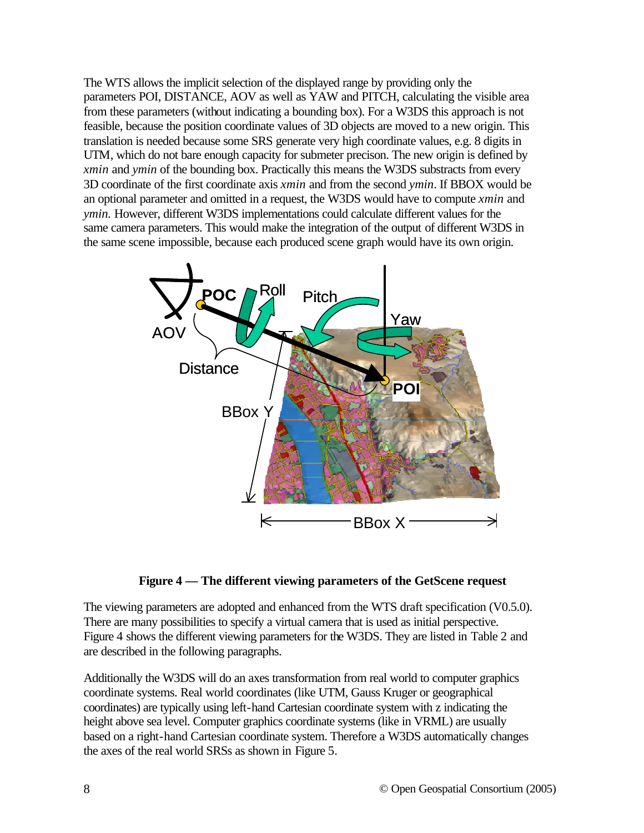The WTS allows the implicit selection of the displayed range by providing only the parameters POI, DISTANCE, AOV as well as YAW and PITCH, calculating the visible area from these parameters (without indicating a bounding box). For a W3DS this approach is not feasible, because the position coordinate values of 3D objects are moved to a new origin. This translation is needed because some SRS generate very high coordinate values, e.g. 8 digits in UTM, which do not bare enough capacity for submeter precison. The new origin is defined by *xmin* and *ymin* of the bounding box. Practically this means the W3DS substracts from every 3D coordinate of the first coordinate axis *xmin* and from the second *ymin*. If BBOX would be an optional parameter and omitted in a request, the W3DS would have to compute *xmin* and *ymin.* However, different W3DS implementations could calculate different values for the same camera parameters. This would make the integration of the output of different W3DS in the same scene impossible, because each produced scene graph would have its own origin.



#### **Figure 4 — The different viewing parameters of the GetScene request**

The viewing parameters are adopted and enhanced from the WTS draft specification (V0.5.0). There are many possibilities to specify a virtual camera that is used as initial perspective. Figure 4 shows the different viewing parameters for the W3DS. They are listed in Table 2 and are described in the following paragraphs.

Additionally the W3DS will do an axes transformation from real world to computer graphics coordinate systems. Real world coordinates (like UTM, Gauss Kruger or geographical coordinates) are typically using left-hand Cartesian coordinate system with z indicating the height above sea level. Computer graphics coordinate systems (like in VRML) are usually based on a right-hand Cartesian coordinate system. Therefore a W3DS automatically changes the axes of the real world SRSs as shown in Figure 5.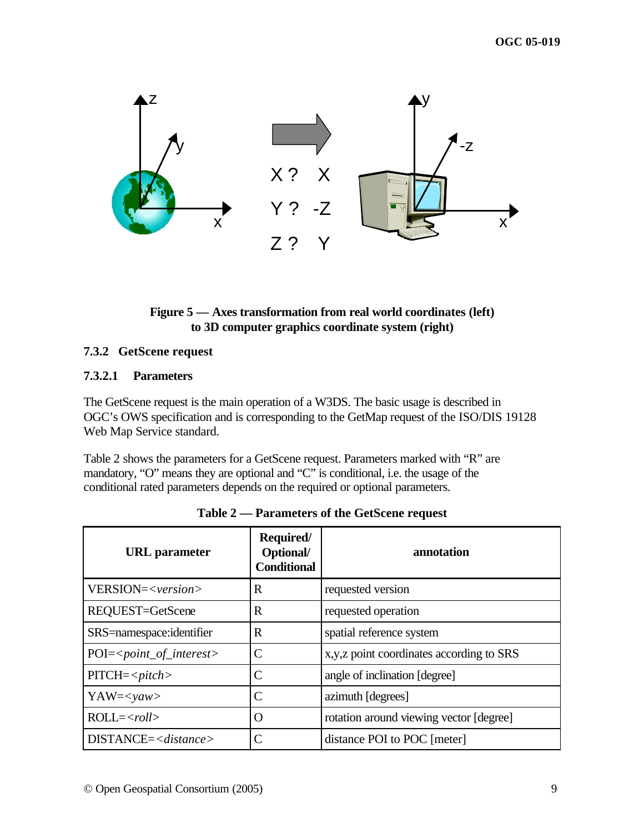

## **Figure 5 — Axes transformation from real world coordinates (left) to 3D computer graphics coordinate system (right)**

#### **7.3.2 GetScene request**

#### **7.3.2.1 Parameters**

The GetScene request is the main operation of a W3DS. The basic usage is described in OGC's OWS specification and is corresponding to the GetMap request of the ISO/DIS 19128 Web Map Service standard.

Table 2 shows the parameters for a GetScene request. Parameters marked with "R" are mandatory, "O" means they are optional and "C" is conditional, i.e. the usage of the conditional rated parameters depends on the required or optional parameters.

| <b>URL</b> parameter         | Required/<br>Optional/<br><b>Conditional</b> | annotation                                 |
|------------------------------|----------------------------------------------|--------------------------------------------|
| VERSION= <version></version> | R                                            | requested version                          |
| REQUEST=GetScene             | R                                            | requested operation                        |
| SRS=namespace:identifier     | R                                            | spatial reference system                   |
| $POI = point_of_interest>$   | $\subset$                                    | x, y, z point coordinates according to SRS |
| $PITCH = pitch$              | C                                            | angle of inclination [degree]              |
| $YAW=yaw>$                   |                                              | azimuth [degrees]                          |
| $ROLL=$                      | ( )                                          | rotation around viewing vector [degree]    |
| $DISTANCE = $                |                                              | distance POI to POC [meter]                |

**Table 2 — Parameters of the GetScene request**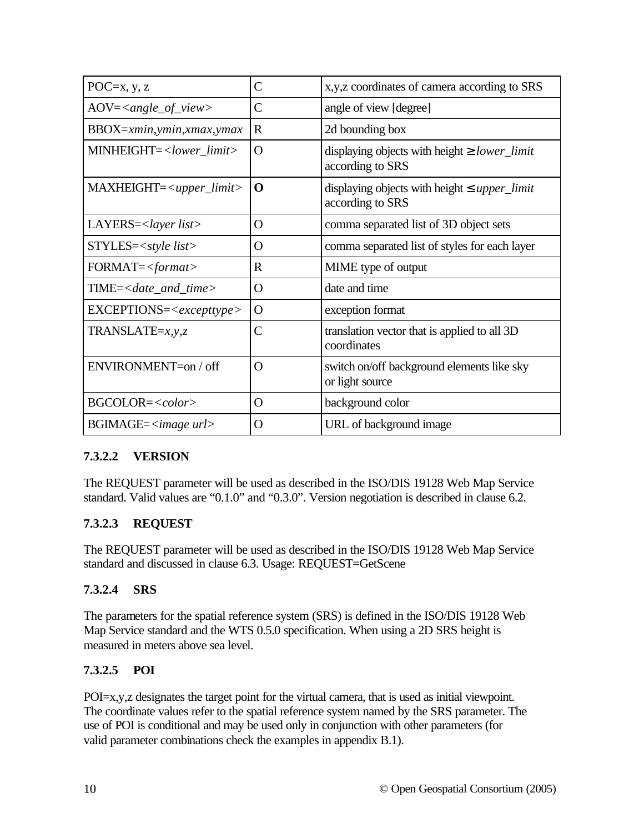| POC $=x, y, z$                          | C              | x, y, z coordinates of camera according to SRS                               |
|-----------------------------------------|----------------|------------------------------------------------------------------------------|
| $AOV = \langle angle\_of\_view \rangle$ | $\overline{C}$ | angle of view [degree]                                                       |
| $BBOX = xmin, ymin, xmax, ymax$         | $\mathbf R$    | 2d bounding box                                                              |
| MINHEIGHT= <lower_limit></lower_limit>  | O              | displaying objects with height $\geq$ lower_limit<br>according to SRS        |
| $MAXHEIGHT = upper_limit$               | O              | displaying objects with height $\leq$ <i>upper</i> limit<br>according to SRS |
| $LAYERS = < layer list>$                | O              | comma separated list of 3D object sets                                       |
| STYLES= <style list=""></style>         |                |                                                                              |

## **7.3.2.2 VERSION**

The REQUEST parameter will be used as described in the ISO/DIS 19128 Web Map Service standard. Valid values are "0.1.0" and "0.3.0". Version negotiation is described in clause 6.2.

## **7.3.2.3 REQUEST**

The REQUEST parameter will be used as described in the ISO/DIS 19128 Web Map Service standard and discussed in clause 6.3. Usage: REQUEST=GetScene

## **7.3.2.4 SRS**

The parameters for the spatial reference system (SRS) is defined in the ISO/DIS 19128 Web Map Service standard and the WTS 0.5.0 specification. When using a 2D SRS height is measured in meters above sea level.

## **7.3.2.5 POI**

POI=x,y,z designates the target point for the virtual camera, that is used as initial viewpoint. The coordinate values refer to the spatial reference system named by the SRS parameter. The use of POI is conditional and may be used only in conjunction with other parameters (for valid parameter combinations check the examples in appendix B.1).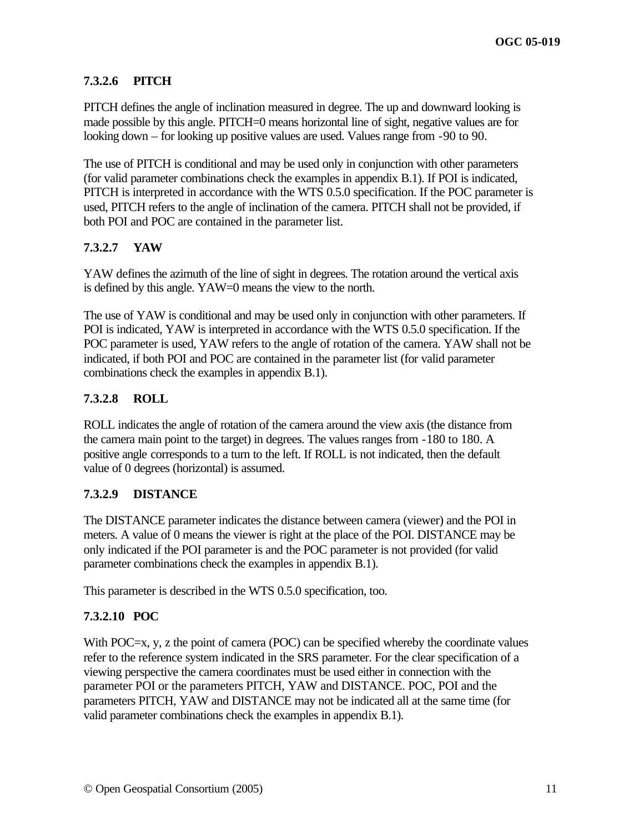## **7.3.2.6 PITCH**

PITCH defines the angle of inclination measured in degree. The up and downward looking is made possible by this angle. PITCH=0 means horizontal line of sight, negative values are for looking down – for looking up positive values are used. Values range from -90 to 90.

The use of PITCH is conditional and may be used only in conjunction with other parameters (for valid parameter combinations check the examples in appendix B.1). If POI is indicated, PITCH is interpreted in accordance with the WTS 0.5.0 specification. If the POC parameter is used, PITCH refers to the angle of inclination of the camera. PITCH shall not be provided, if both POI and POC are contained in the parameter list.

## **7.3.2.7 YAW**

YAW defines the azimuth of the line of sight in degrees. The rotation around the vertical axis is defined by this angle. YAW=0 means the view to the north.

The use of YAW is conditional and may be used only in conjunction with other parameters. If POI is indicated, YAW is interpreted in accordance with the WTS 0.5.0 specification. If the POC parameter is used, YAW refers to the angle of rotation of the camera. YAW shall not be indicated, if both POI and POC are contained in the parameter list (for valid parameter combinations check the examples in appendix B.1).

#### **7.3.2.8 ROLL**

ROLL indicates the angle of rotation of the camera around the view axis (the distance from the camera main point to the target) in degrees. The values ranges from -180 to 180. A positive angle corresponds to a turn to the left. If ROLL is not indicated, then the default value of 0 degrees (horizontal) is assumed.

## **7.3.2.9 DISTANCE**

The DISTANCE parameter indicates the distance between camera (viewer) and the POI in meters. A value of 0 means the viewer is right at the place of the POI. DISTANCE may be only indicated if the POI parameter is and the POC parameter is not provided (for valid parameter combinations check the examples in appendix B.1).

This parameter is described in the WTS 0.5.0 specification, too.

## **7.3.2.10 POC**

With POC=x, y, z the point of camera (POC) can be specified whereby the coordinate values refer to the reference system indicated in the SRS parameter. For the clear specification of a viewing perspective the camera coordinates must be used either in connection with the parameter POI or the parameters PITCH, YAW and DISTANCE. POC, POI and the parameters PITCH, YAW and DISTANCE may not be indicated all at the same time (for valid parameter combinations check the examples in appendix B.1).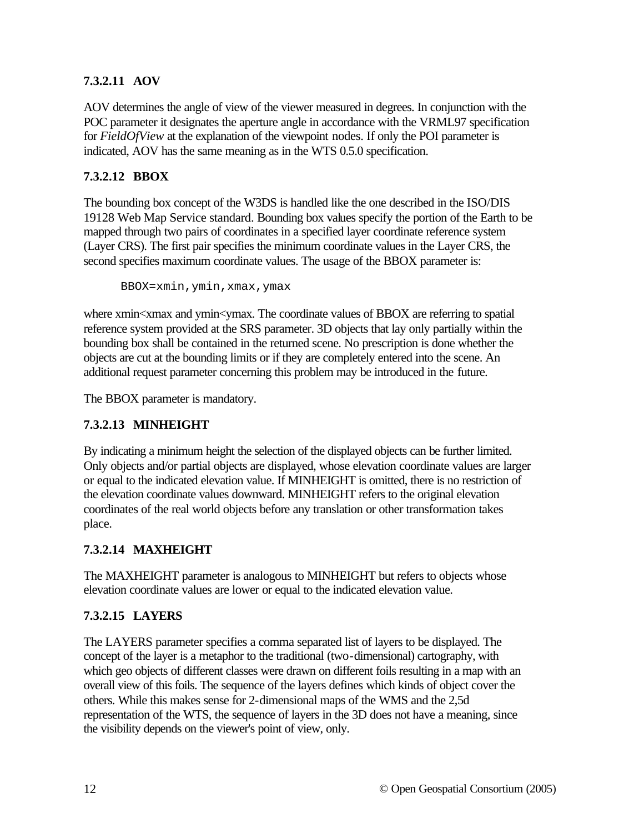## **7.3.2.11 AOV**

AOV determines the angle of view of the viewer measured in degrees. In conjunction with the POC parameter it designates the aperture angle in accordance with the VRML97 specification for *FieldOfView* at the explanation of the viewpoint nodes. If only the POI parameter is indicated, AOV has the same meaning as in the WTS 0.5.0 specification.

## **7.3.2.12 BBOX**

The bounding box concept of the W3DS is handled like the one described in the ISO/DIS 19128 Web Map Service standard. Bounding box values specify the portion of the Earth to be mapped through two pairs of coordinates in a specified layer coordinate reference system (Layer CRS). The first pair specifies the minimum coordinate values in the Layer CRS, the second specifies maximum coordinate values. The usage of the BBOX parameter is:

```
BBOX=xmin,ymin,xmax,ymax
```
where xmin<xmax and ymin<ymax. The coordinate values of BBOX are referring to spatial reference system provided at the SRS parameter. 3D objects that lay only partially within the bounding box shall be contained in the returned scene. No prescription is done whether the objects are cut at the bounding limits or if they are completely entered into the scene. An additional request parameter concerning this problem may be introduced in the future.

The BBOX parameter is mandatory.

# **7.3.2.13 MINHEIGHT**

By indicating a minimum height the selection of the displayed objects can be further limited. Only objects and/or partial objects are displayed, whose elevation coordinate values are larger or equal to the indicated elevation value. If MINHEIGHT is omitted, there is no restriction of the elevation coordinate values downward. MINHEIGHT refers to the original elevation coordinates of the real world objects before any translation or other transformation takes place.

# **7.3.2.14 MAXHEIGHT**

The MAXHEIGHT parameter is analogous to MINHEIGHT but refers to objects whose elevation coordinate values are lower or equal to the indicated elevation value.

# **7.3.2.15 LAYERS**

The LAYERS parameter specifies a comma separated list of layers to be displayed. The concept of the layer is a metaphor to the traditional (two-dimensional) cartography, with which geo objects of different classes were drawn on different foils resulting in a map with an overall view of this foils. The sequence of the layers defines which kinds of object cover the others. While this makes sense for 2-dimensional maps of the WMS and the 2,5d representation of the WTS, the sequence of layers in the 3D does not have a meaning, since the visibility depends on the viewer's point of view, only.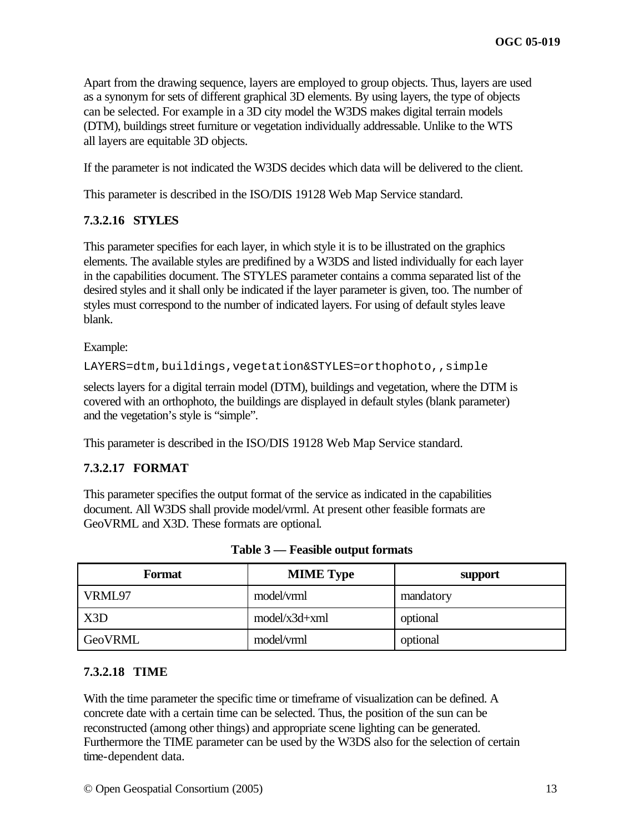Apart from the drawing sequence, layers are employed to group objects. Thus, layers are used as a synonym for sets of different graphical 3D elements. By using layers, the type of objects can be selected. For example in a 3D city model the W3DS makes digital terrain models (DTM), buildings street furniture or vegetation individually addressable. Unlike to the WTS all layers are equitable 3D objects.

If the parameter is not indicated the W3DS decides which data will be delivered to the client.

This parameter is described in the ISO/DIS 19128 Web Map Service standard.

## **7.3.2.16 STYLES**

This parameter specifies for each layer, in which style it is to be illustrated on the graphics elements. The available styles are predifined by a W3DS and listed individually for each layer in the capabilities document. The STYLES parameter contains a comma separated list of the desired styles and it shall only be indicated if the layer parameter is given, too. The number of styles must correspond to the number of indicated layers. For using of default styles leave blank.

Example:

LAYERS=dtm,buildings,vegetation&STYLES=orthophoto,,simple

selects layers for a digital terrain model (DTM), buildings and vegetation, where the DTM is covered with an orthophoto, the buildings are displayed in default styles (blank parameter) and the vegetation's style is "simple".

This parameter is described in the ISO/DIS 19128 Web Map Service standard.

## **7.3.2.17 FORMAT**

This parameter specifies the output format of the service as indicated in the capabilities document. All W3DS shall provide model/vrml. At present other feasible formats are GeoVRML and X3D. These formats are optional.

| Format  | <b>MIME</b> Type | support   |
|---------|------------------|-----------|
| VRML97  | model/vrml       | mandatory |
| X3D     | $model/x3d+xml$  | optional  |
| GeoVRML | model/vrml       | optional  |

#### **7.3.2.18 TIME**

With the time parameter the specific time or timeframe of visualization can be defined. A concrete date with a certain time can be selected. Thus, the position of the sun can be reconstructed (among other things) and appropriate scene lighting can be generated. Furthermore the TIME parameter can be used by the W3DS also for the selection of certain time-dependent data.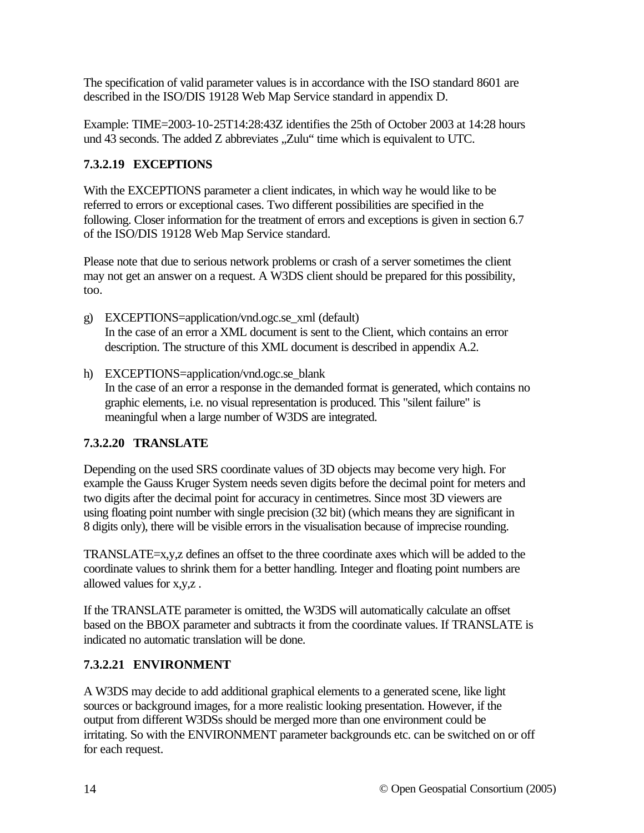The specification of valid parameter values is in accordance with the ISO standard 8601 are described in the ISO/DIS 19128 Web Map Service standard in appendix D.

Example: TIME=2003-10-25T14:28:43Z identifies the 25th of October 2003 at 14:28 hours und 43 seconds. The added Z abbreviates "Zulu" time which is equivalent to UTC.

# **7.3.2.19 EXCEPTIONS**

With the EXCEPTIONS parameter a client indicates, in which way he would like to be referred to errors or exceptional cases. Two different possibilities are specified in the following. Closer information for the treatment of errors and exceptions is given in section 6.7 of the ISO/DIS 19128 Web Map Service standard.

Please note that due to serious network problems or crash of a server sometimes the client may not get an answer on a request. A W3DS client should be prepared for this possibility, too.

- g) EXCEPTIONS=application/vnd.ogc.se\_xml (default) In the case of an error a XML document is sent to the Client, which contains an error description. The structure of this XML document is described in appendix A.2.
- h) EXCEPTIONS=application/vnd.ogc.se\_blank In the case of an error a response in the demanded format is generated, which contains no graphic elements, i.e. no visual representation is produced. This "silent failure" is meaningful when a large number of W3DS are integrated.

# **7.3.2.20 TRANSLATE**

Depending on the used SRS coordinate values of 3D objects may become very high. For example the Gauss Kruger System needs seven digits before the decimal point for meters and two digits after the decimal point for accuracy in centimetres. Since most 3D viewers are using floating point number with single precision (32 bit) (which means they are significant in 8 digits only), there will be visible errors in the visualisation because of imprecise rounding.

TRANSLATE=x,y,z defines an offset to the three coordinate axes which will be added to the coordinate values to shrink them for a better handling. Integer and floating point numbers are allowed values for x,y,z .

If the TRANSLATE parameter is omitted, the W3DS will automatically calculate an offset based on the BBOX parameter and subtracts it from the coordinate values. If TRANSLATE is indicated no automatic translation will be done.

# **7.3.2.21 ENVIRONMENT**

A W3DS may decide to add additional graphical elements to a generated scene, like light sources or background images, for a more realistic looking presentation. However, if the output from different W3DSs should be merged more than one environment could be irritating. So with the ENVIRONMENT parameter backgrounds etc. can be switched on or off for each request.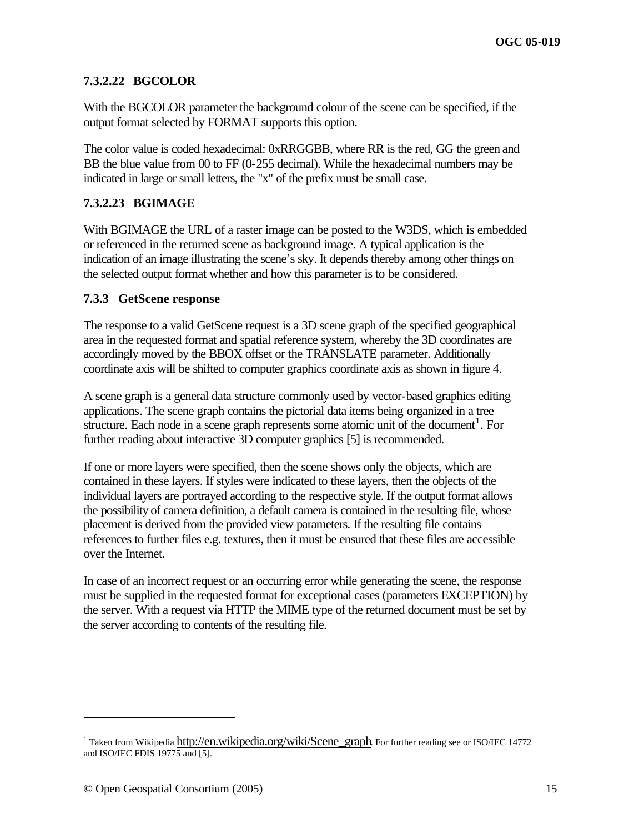## **7.3.2.22 BGCOLOR**

With the BGCOLOR parameter the background colour of the scene can be specified, if the output format selected by FORMAT supports this option.

The color value is coded hexadecimal: 0xRRGGBB, where RR is the red, GG the green and BB the blue value from 00 to FF (0-255 decimal). While the hexadecimal numbers may be indicated in large or small letters, the "x" of the prefix must be small case.

## **7.3.2.23 BGIMAGE**

With BGIMAGE the URL of a raster image can be posted to the W3DS, which is embedded or referenced in the returned scene as background image. A typical application is the indication of an image illustrating the scene's sky. It depends thereby among other things on the selected output format whether and how this parameter is to be considered.

#### **7.3.3 GetScene response**

The response to a valid GetScene request is a 3D scene graph of the specified geographical area in the requested format and spatial reference system, whereby the 3D coordinates are accordingly moved by the BBOX offset or the TRANSLATE parameter. Additionally coordinate axis will be shifted to computer graphics coordinate axis as shown in figure 4.

A scene graph is a general data structure commonly used by vector-based graphics editing applications. The scene graph contains the pictorial data items being organized in a tree structure. Each node in a scene graph represents some atomic unit of the document<sup>1</sup>. For further reading about interactive 3D computer graphics [5] is recommended.

If one or more layers were specified, then the scene shows only the objects, which are contained in these layers. If styles were indicated to these layers, then the objects of the individual layers are portrayed according to the respective style. If the output format allows the possibility of camera definition, a default camera is contained in the resulting file, whose placement is derived from the provided view parameters. If the resulting file contains references to further files e.g. textures, then it must be ensured that these files are accessible over the Internet.

In case of an incorrect request or an occurring error while generating the scene, the response must be supplied in the requested format for exceptional cases (parameters EXCEPTION) by the server. With a request via HTTP the MIME type of the returned document must be set by the server according to contents of the resulting file.

 $\overline{a}$ 

<sup>&</sup>lt;sup>1</sup> Taken from Wikipedia http://en.wikipedia.org/wiki/Scene\_graph. For further reading see or ISO/IEC 14772 and ISO/IEC FDIS 19775 and [5].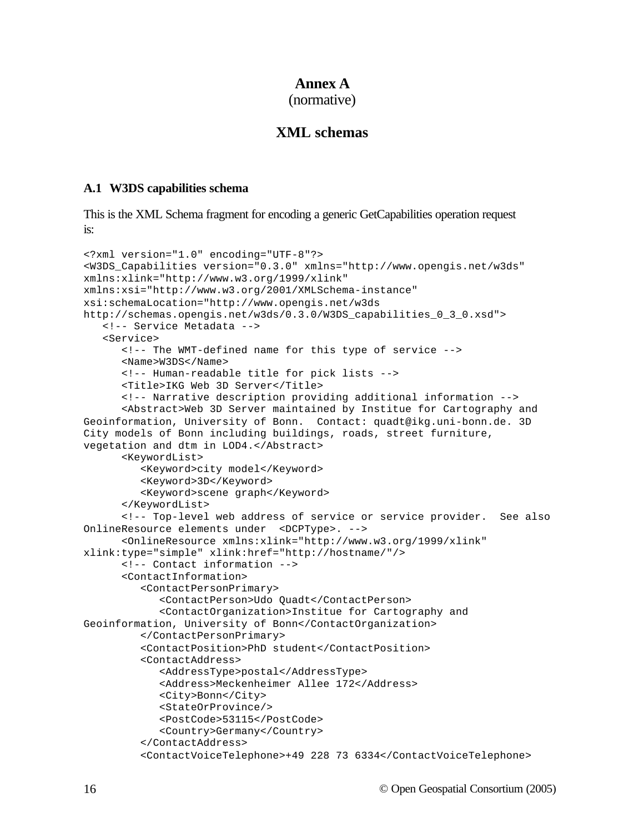## **Annex A**

(normative)

# **XML schemas**

#### **A.1 W3DS capabilities schema**

This is the XML Schema fragment for encoding a generic GetCapabilities operation request is:

```
<?xml version="1.0" encoding="UTF-8"?>
<W3DS_Capabilities version="0.3.0" xmlns="http://www.opengis.net/w3ds" 
xmlns:xlink="http://www.w3.org/1999/xlink" 
xmlns:xsi="http://www.w3.org/2001/XMLSchema-instance" 
xsi:schemaLocation="http://www.opengis.net/w3ds 
http://schemas.opengis.net/w3ds/0.3.0/W3DS_capabilities_0_3_0.xsd">
   <!-- Service Metadata -->
   <Service>
      <!-- The WMT-defined name for this type of service -->
      <Name>W3DS</Name>
      <!-- Human-readable title for pick lists -->
      <Title>IKG Web 3D Server</Title>
      <!-- Narrative description providing additional information -->
      <Abstract>Web 3D Server maintained by Institue for Cartography and 
Geoinformation, University of Bonn. Contact: quadt@ikg.uni-bonn.de. 3D 
City models of Bonn including buildings, roads, street furniture, 
vegetation and dtm in LOD4.</Abstract>
      <KeywordList>
         <Keyword>city model</Keyword>
         <Keyword>3D</Keyword>
         <Keyword>scene graph</Keyword>
      </KeywordList>
      <!-- Top-level web address of service or service provider. See also 
OnlineResource elements under <DCPType>. -->
      <OnlineResource xmlns:xlink="http://www.w3.org/1999/xlink" 
xlink:type="simple" xlink:href="http://hostname/"/>
      <!-- Contact information -->
      <ContactInformation>
         <ContactPersonPrimary>
            <ContactPerson>Udo Quadt</ContactPerson>
            <ContactOrganization>Institue for Cartography and 
Geoinformation, University of Bonn</ContactOrganization>
         </ContactPersonPrimary>
         <ContactPosition>PhD student</ContactPosition>
         <ContactAddress>
            <AddressType>postal</AddressType>
            <Address>Meckenheimer Allee 172</Address>
            <City>Bonn</City>
            <StateOrProvince/>
            <PostCode>53115</PostCode>
            <Country>Germany</Country>
         </ContactAddress>
         <ContactVoiceTelephone>+49 228 73 6334</ContactVoiceTelephone>
```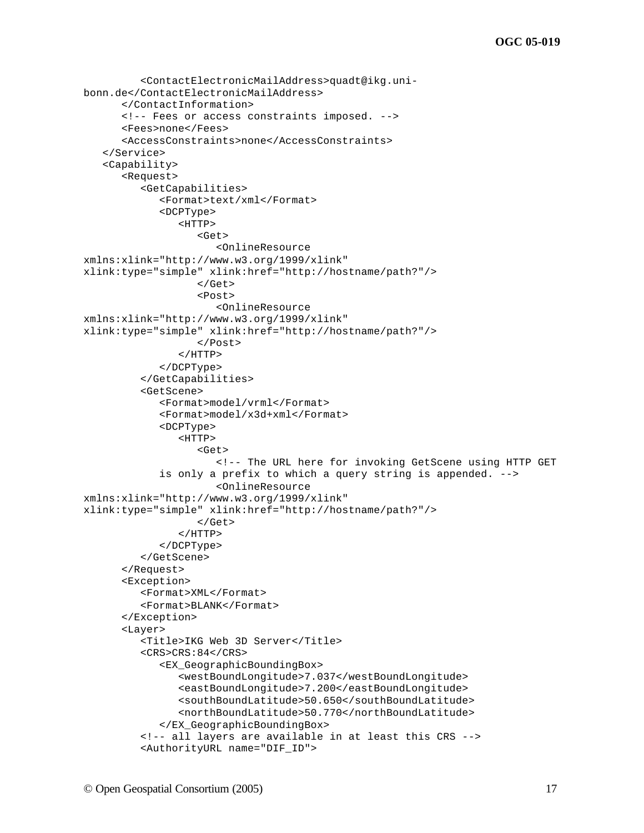```
<ContactElectronicMailAddress>quadt@ikg.uni-
bonn.de</ContactElectronicMailAddress>
      </ContactInformation>
      <!-- Fees or access constraints imposed. -->
      <Fees>none</Fees>
      <AccessConstraints>none</AccessConstraints>
   </Service>
   <Capability>
      <Request>
         <GetCapabilities>
            <Format>text/xml</Format>
            <DCPType>
               <HTTP>
                  <Get>
                      <OnlineResource 
xmlns:xlink="http://www.w3.org/1999/xlink" 
xlink:type="simple" xlink:href="http://hostname/path?"/>
                  </Get>
                  <Post>
                     <OnlineResource 
xmlns:xlink="http://www.w3.org/1999/xlink" 
xlink:type="simple" xlink:href="http://hostname/path?"/>
                  </Post>
               </HTTP>
            </DCPType>
         </GetCapabilities>
         <GetScene>
            <Format>model/vrml</Format>
            <Format>model/x3d+xml</Format>
            <DCPType>
               <HTTP>
                  <Get>
                      <!-- The URL here for invoking GetScene using HTTP GET 
             is only a prefix to which a query string is appended. -->
                     <OnlineResource 
xmlns:xlink="http://www.w3.org/1999/xlink" 
xlink:type="simple" xlink:href="http://hostname/path?"/>
                  </Get>
               </HTTP></DCPType>
         </GetScene>
      </Request>
      <Exception>
         <Format>XML</Format>
         <Format>BLANK</Format>
      </Exception>
      <Layer>
         <Title>IKG Web 3D Server</Title>
         <CRS>CRS:84</CRS><EX_GeographicBoundingBox>
               <westBoundLongitude>7.037</westBoundLongitude>
               <eastBoundLongitude>7.200</eastBoundLongitude>
               <southBoundLatitude>50.650</southBoundLatitude>
               <northBoundLatitude>50.770</northBoundLatitude>
            </EX_GeographicBoundingBox>
         <!-- all layers are available in at least this CRS -->
         <AuthorityURL name="DIF_ID">
```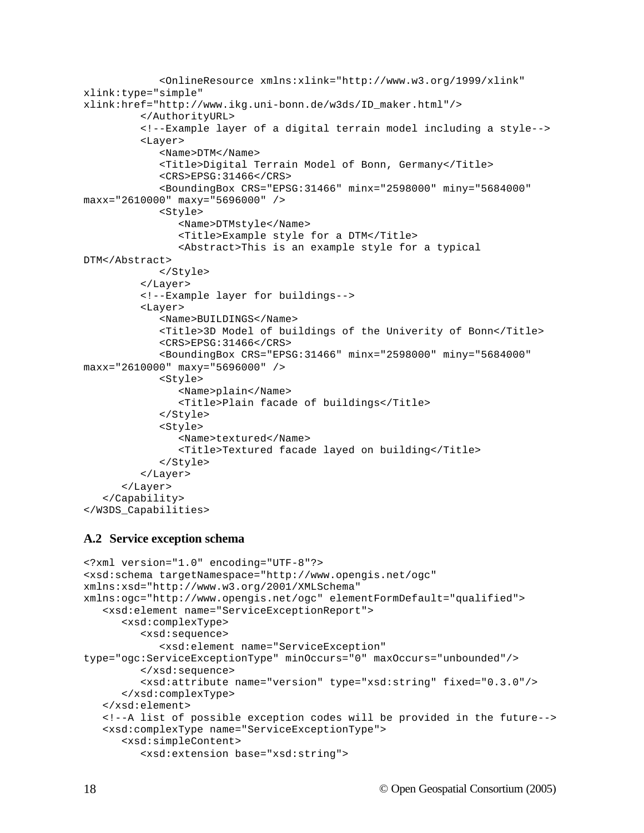```
<OnlineResource xmlns:xlink="http://www.w3.org/1999/xlink" 
xlink:type="simple" 
xlink:href="http://www.ikg.uni-bonn.de/w3ds/ID_maker.html"/>
         </AuthorityURL>
         <!--Example layer of a digital terrain model including a style-->
         <Layer>
            <Name>DTM</Name>
            <Title>Digital Terrain Model of Bonn, Germany</Title>
            <CRS>EPSG:31466</CRS>
            <BoundingBox CRS="EPSG:31466" minx="2598000" miny="5684000" 
maxx="2610000" maxy="5696000" />
            <Style>
               <Name>DTMstyle</Name>
               <Title>Example style for a DTM</Title>
               <Abstract>This is an example style for a typical 
DTM</Abstract>
            </Style>
         </Layer>
         <!--Example layer for buildings-->
         <Layer>
            <Name>BUILDINGS</Name>
            <Title>3D Model of buildings of the Univerity of Bonn</Title>
            <CRS>EPSG:31466</CRS>
            <BoundingBox CRS="EPSG:31466" minx="2598000" miny="5684000" 
maxx="2610000" maxy="5696000" />
            <Style>
               <Name>plain</Name>
               <Title>Plain facade of buildings</Title>
            </Style>
            <Style>
               <Name>textured</Name>
               <Title>Textured facade layed on building</Title>
            </Style>
         </Layer>
      </Layer>
   </Capability>
</W3DS_Capabilities>
```
#### **A.2 Service exception schema**

```
<?xml version="1.0" encoding="UTF-8"?>
<xsd:schema targetNamespace="http://www.opengis.net/ogc" 
xmlns:xsd="http://www.w3.org/2001/XMLSchema" 
xmlns:ogc="http://www.opengis.net/ogc" elementFormDefault="qualified">
   <xsd:element name="ServiceExceptionReport">
      <xsd:complexType>
         <xsd:sequence>
            <xsd:element name="ServiceException" 
type="ogc:ServiceExceptionType" minOccurs="0" maxOccurs="unbounded"/>
         </xsd:sequence>
         <xsd:attribute name="version" type="xsd:string" fixed="0.3.0"/>
      </xsd:complexType>
   </xsd:element>
   <!--A list of possible exception codes will be provided in the future-->
   <xsd:complexType name="ServiceExceptionType">
      <xsd:simpleContent>
         <xsd:extension base="xsd:string">
```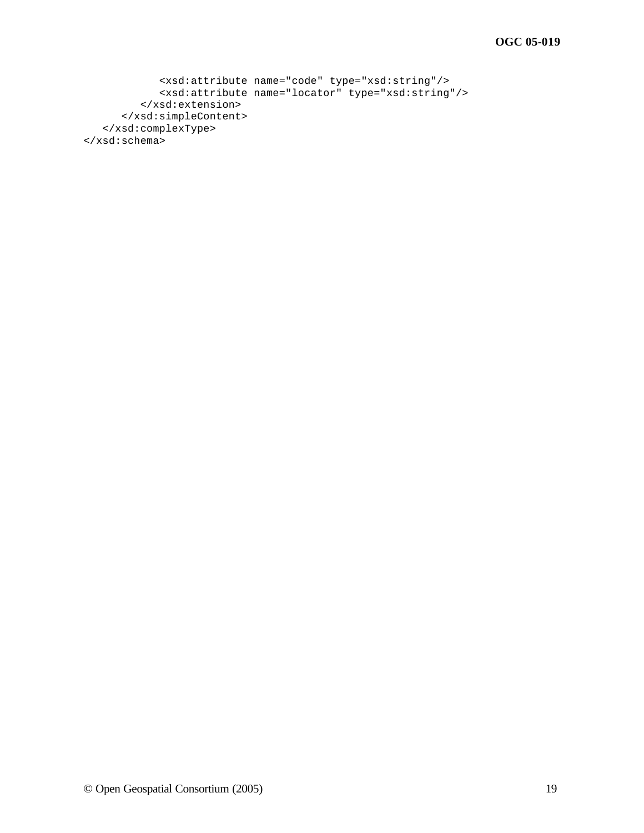```
<xsd:attribute name="code" type="xsd:string"/>
           <xsd:attribute name="locator" type="xsd:string"/>
         </xsd:extension>
      </xsd:simpleContent>
   </xsd:complexType>
</xsd:schema>
```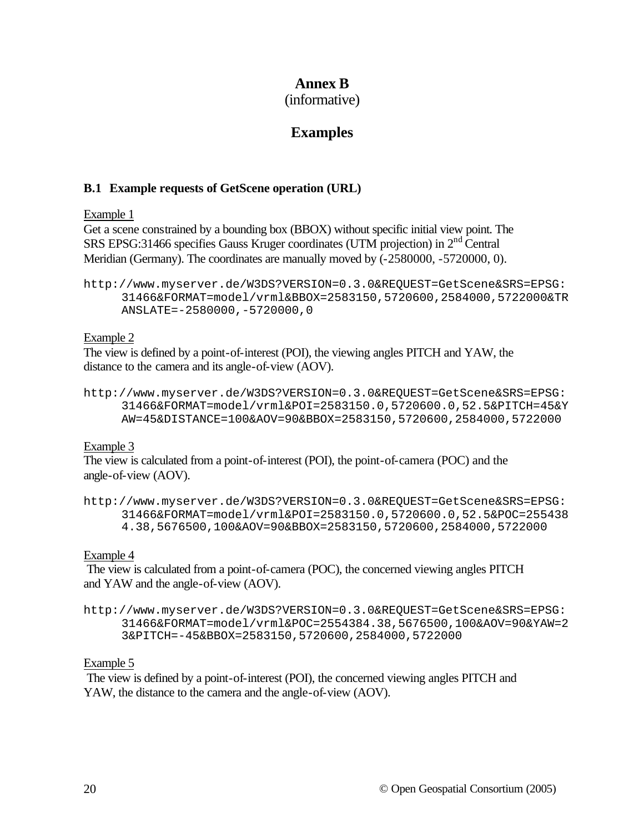# **Annex B**

(informative)

# **Examples**

## **B.1 Example requests of GetScene operation (URL)**

## Example 1

Get a scene constrained by a bounding box (BBOX) without specific initial view point. The SRS EPSG:31466 specifies Gauss Kruger coordinates (UTM projection) in 2nd Central Meridian (Germany). The coordinates are manually moved by  $(-2580000, -5720000, 0)$ .

```
http://www.myserver.de/W3DS?VERSION=0.3.0&REQUEST=GetScene&SRS=EPSG:
     31466&FORMAT=model/vrml&BBOX=2583150,5720600,2584000,5722000&TR
     ANSLATE=-2580000,-5720000,0
```
## Example 2

The view is defined by a point-of-interest (POI), the viewing angles PITCH and YAW, the distance to the camera and its angle-of-view (AOV).

```
http://www.myserver.de/W3DS?VERSION=0.3.0&REQUEST=GetScene&SRS=EPSG:
     31466&FORMAT=model/vrml&POI=2583150.0,5720600.0,52.5&PITCH=45&Y
     AW=45&DISTANCE=100&AOV=90&BBOX=2583150,5720600,2584000,5722000
```
Example 3

The view is calculated from a point-of-interest (POI), the point-of-camera (POC) and the angle-of-view (AOV).

```
http://www.myserver.de/W3DS?VERSION=0.3.0&REQUEST=GetScene&SRS=EPSG:
     31466&FORMAT=model/vrml&POI=2583150.0,5720600.0,52.5&POC=255438
     4.38,5676500,100&AOV=90&BBOX=2583150,5720600,2584000,5722000
```
## Example 4

 The view is calculated from a point-of-camera (POC), the concerned viewing angles PITCH and YAW and the angle-of-view (AOV).

```
http://www.myserver.de/W3DS?VERSION=0.3.0&REQUEST=GetScene&SRS=EPSG:
     31466&FORMAT=model/vrml&POC=2554384.38,5676500,100&AOV=90&YAW=2
     3&PITCH=-45&BBOX=2583150,5720600,2584000,5722000
```
## Example 5

 The view is defined by a point-of-interest (POI), the concerned viewing angles PITCH and YAW, the distance to the camera and the angle-of-view (AOV).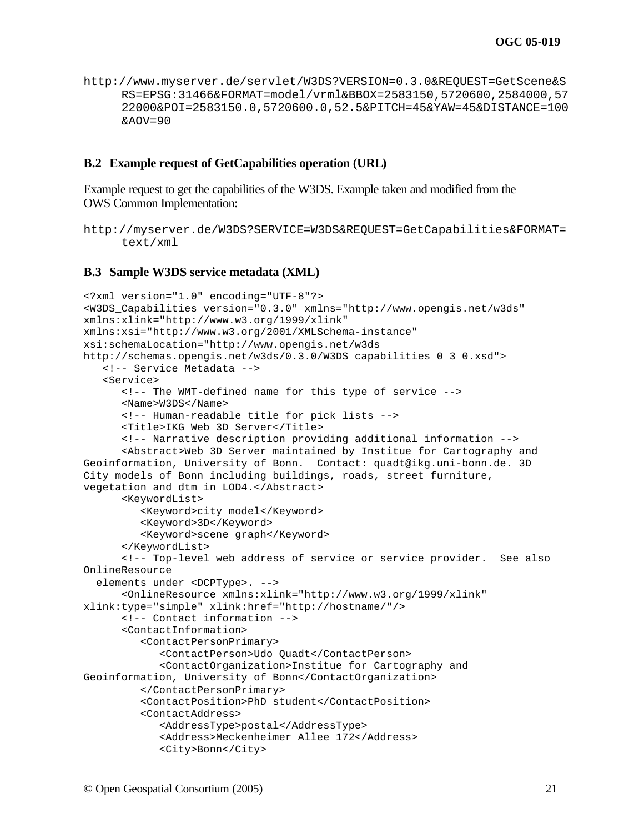http://www.myserver.de/servlet/W3DS?VERSION=0.3.0&REQUEST=GetScene&S RS=EPSG:31466&FORMAT=model/vrml&BBOX=2583150,5720600,2584000,57 22000&POI=2583150.0,5720600.0,52.5&PITCH=45&YAW=45&DISTANCE=100 &AOV=90

#### **B.2 Example request of GetCapabilities operation (URL)**

Example request to get the capabilities of the W3DS. Example taken and modified from the OWS Common Implementation:

```
http://myserver.de/W3DS?SERVICE=W3DS&REQUEST=GetCapabilities&FORMAT=
     text/xml
```
#### **B.3 Sample W3DS service metadata (XML)**

```
<?xml version="1.0" encoding="UTF-8"?>
<W3DS_Capabilities version="0.3.0" xmlns="http://www.opengis.net/w3ds" 
xmlns:xlink="http://www.w3.org/1999/xlink" 
xmlns:xsi="http://www.w3.org/2001/XMLSchema-instance" 
xsi:schemaLocation="http://www.opengis.net/w3ds 
http://schemas.opengis.net/w3ds/0.3.0/W3DS_capabilities_0_3_0.xsd">
   <!-- Service Metadata -->
   <Service>
      <!-- The WMT-defined name for this type of service -->
      <Name>W3DS</Name>
      <!-- Human-readable title for pick lists -->
      <Title>IKG Web 3D Server</Title>
      <!-- Narrative description providing additional information -->
      <Abstract>Web 3D Server maintained by Institue for Cartography and 
Geoinformation, University of Bonn. Contact: quadt@ikg.uni-bonn.de. 3D 
City models of Bonn including buildings, roads, street furniture, 
vegetation and dtm in LOD4.</Abstract>
      <KeywordList>
         <Keyword>city model</Keyword>
         <Keyword>3D</Keyword>
         <Keyword>scene graph</Keyword>
      </KeywordList>
      <!-- Top-level web address of service or service provider. See also 
OnlineResource
   elements under <DCPType>. -->
      <OnlineResource xmlns:xlink="http://www.w3.org/1999/xlink" 
xlink:type="simple" xlink:href="http://hostname/"/>
      <!-- Contact information -->
      <ContactInformation>
         <ContactPersonPrimary>
            <ContactPerson>Udo Quadt</ContactPerson>
            <ContactOrganization>Institue for Cartography and 
Geoinformation, University of Bonn</ContactOrganization>
         </ContactPersonPrimary>
         <ContactPosition>PhD student</ContactPosition>
         <ContactAddress>
            <AddressType>postal</AddressType>
            <Address>Meckenheimer Allee 172</Address>
            <City>Bonn</City>
```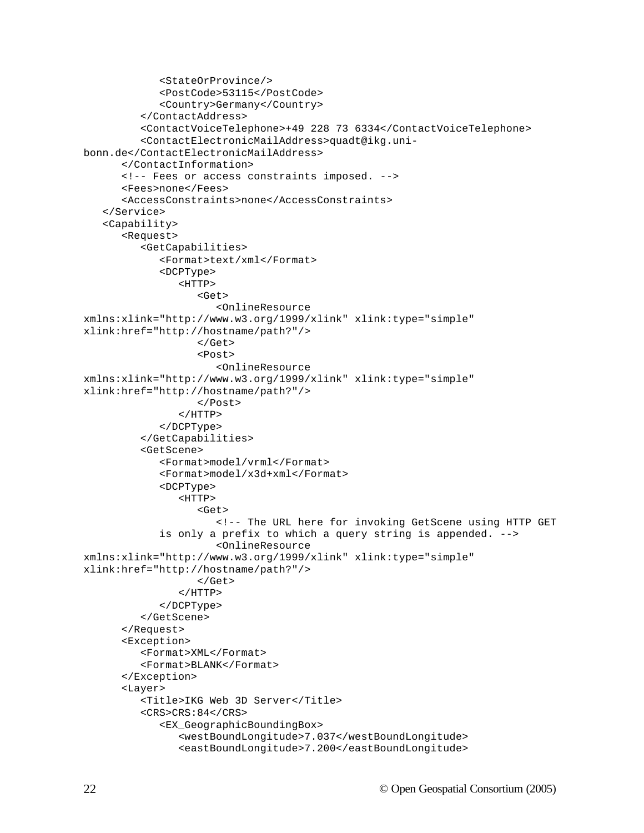```
<StateOrProvince/>
            <PostCode>53115</PostCode>
            <Country>Germany</Country>
         </ContactAddress>
         <ContactVoiceTelephone>+49 228 73 6334</ContactVoiceTelephone>
         <ContactElectronicMailAddress>quadt@ikg.uni-
bonn.de</ContactElectronicMailAddress>
      </ContactInformation>
      <!-- Fees or access constraints imposed. -->
      <Fees>none</Fees>
      <AccessConstraints>none</AccessConstraints>
   </Service>
   <Capability>
      <Request>
         <GetCapabilities>
            <Format>text/xml</Format>
            <DCPType>
               <HTTP>
                  <Get>
                     <OnlineResource 
xmlns:xlink="http://www.w3.org/1999/xlink" xlink:type="simple" 
xlink:href="http://hostname/path?"/>
                  </Get>
                  <Post>
                     <OnlineResource 
xmlns:xlink="http://www.w3.org/1999/xlink" xlink:type="simple" 
xlink:href="http://hostname/path?"/>
                  </Post>
               </HTTP></DCPType>
         </GetCapabilities>
         <GetScene>
            <Format>model/vrml</Format>
            <Format>model/x3d+xml</Format>
            <DCPType>
               <HTTP>
                  <Get>
                      <!-- The URL here for invoking GetScene using HTTP GET
             is only a prefix to which a query string is appended. -->
                     <OnlineResource 
xmlns:xlink="http://www.w3.org/1999/xlink" xlink:type="simple" 
xlink:href="http://hostname/path?"/>
                  \langleGet>
               </HTTP>
            </DCPType>
         </GetScene>
      </Request>
      <Exception>
         <Format>XML</Format>
         <Format>BLANK</Format>
      </Exception>
      <Layer>
         <Title>IKG Web 3D Server</Title>
         <CRS>CRS:84</CRS><EX_GeographicBoundingBox>
               <westBoundLongitude>7.037</westBoundLongitude>
               <eastBoundLongitude>7.200</eastBoundLongitude>
```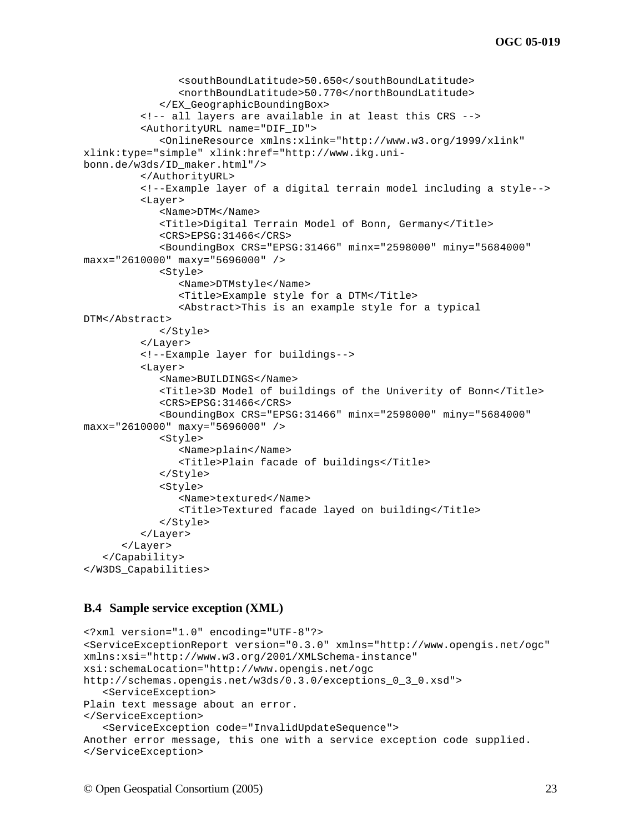```
<southBoundLatitude>50.650</southBoundLatitude>
               <northBoundLatitude>50.770</northBoundLatitude>
            </EX_GeographicBoundingBox>
         <!-- all layers are available in at least this CRS -->
         <AuthorityURL name="DIF_ID">
            <OnlineResource xmlns:xlink="http://www.w3.org/1999/xlink" 
xlink:type="simple" xlink:href="http://www.ikg.uni-
bonn.de/w3ds/ID_maker.html"/>
         </AuthorityURL>
         <!--Example layer of a digital terrain model including a style-->
         <Layer>
            <Name>DTM</Name>
            <Title>Digital Terrain Model of Bonn, Germany</Title>
            <CRS>EPSG:31466</CRS>
            <BoundingBox CRS="EPSG:31466" minx="2598000" miny="5684000" 
maxx="2610000" maxy="5696000" />
            <Style>
               <Name>DTMstyle</Name>
               <Title>Example style for a DTM</Title>
               <Abstract>This is an example style for a typical 
DTM</Abstract>
            </Style>
         </Layer>
         <!--Example layer for buildings-->
         \langleLayer>
            <Name>BUILDINGS</Name>
            <Title>3D Model of buildings of the Univerity of Bonn</Title>
            <CRS>EPSG:31466</CRS>
            <BoundingBox CRS="EPSG:31466" minx="2598000" miny="5684000" 
maxx="2610000" maxy="5696000" />
            <Style>
               <Name>plain</Name>
               <Title>Plain facade of buildings</Title>
            </Style>
            <Style>
               <Name>textured</Name>
               <Title>Textured facade layed on building</Title>
            </Style>
         </Layer>
      </Layer>
   </Capability>
</W3DS_Capabilities>
```
#### **B.4 Sample service exception (XML)**

```
<?xml version="1.0" encoding="UTF-8"?>
<ServiceExceptionReport version="0.3.0" xmlns="http://www.opengis.net/ogc" 
xmlns:xsi="http://www.w3.org/2001/XMLSchema-instance" 
xsi:schemaLocation="http://www.opengis.net/ogc 
http://schemas.opengis.net/w3ds/0.3.0/exceptions_0_3_0.xsd">
   <ServiceException>
Plain text message about an error.
</ServiceException>
   <ServiceException code="InvalidUpdateSequence">
Another error message, this one with a service exception code supplied.
</ServiceException>
```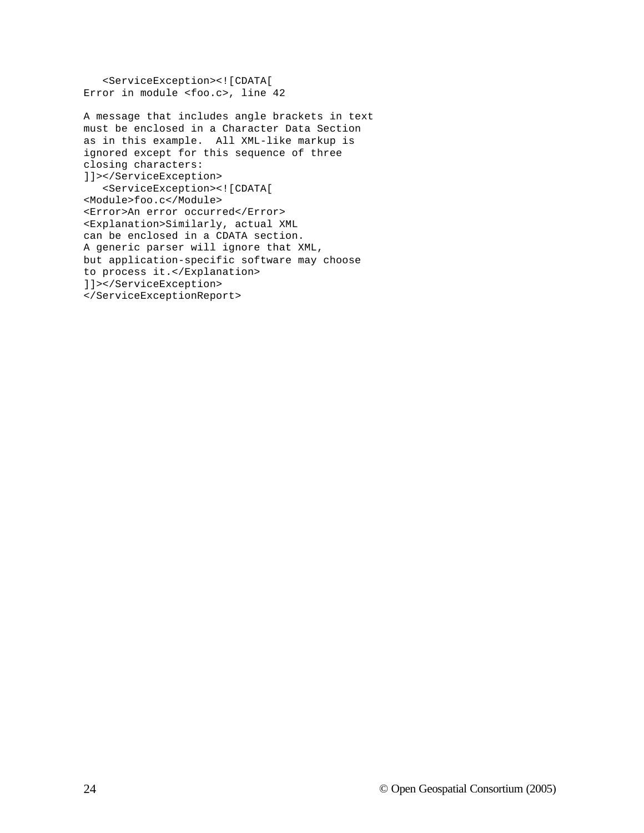<ServiceException><![CDATA[ Error in module <foo.c>, line 42

A message that includes angle brackets in text must be enclosed in a Character Data Section as in this example. All XML-like markup is ignored except for this sequence of three closing characters: ]]></ServiceException> <ServiceException><![CDATA[ <Module>foo.c</Module> <Error>An error occurred</Error> <Explanation>Similarly, actual XML can be enclosed in a CDATA section. A generic parser will ignore that XML, but application-specific software may choose to process it.</Explanation> ]]></ServiceException> </ServiceExceptionReport>